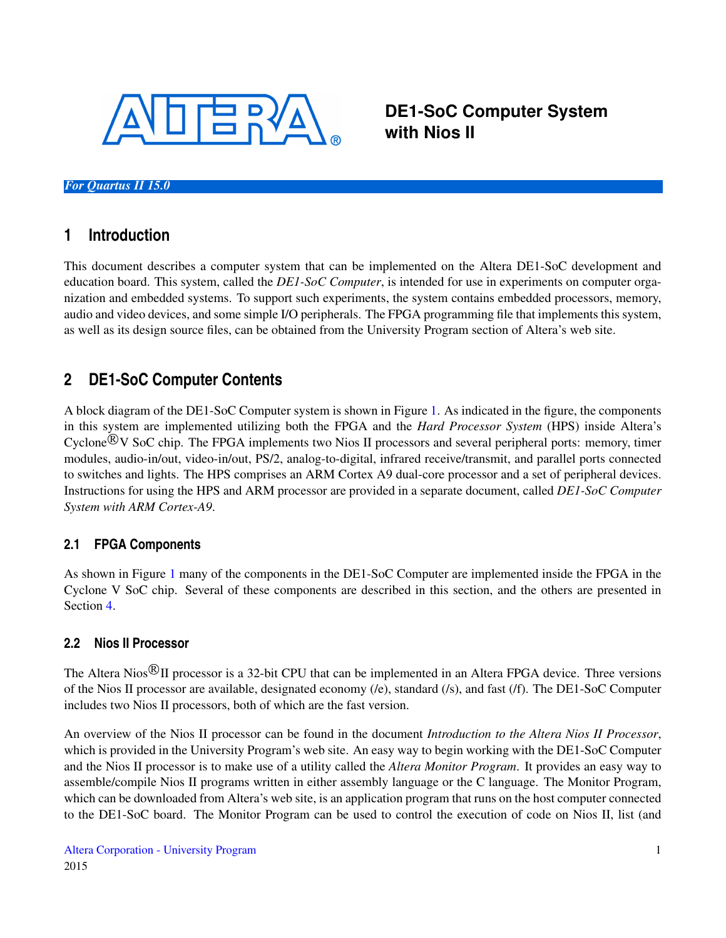

**DE1-SoC Computer System with Nios II**

#### *For Quartus II 15.0*

## **1 Introduction**

This document describes a computer system that can be implemented on the Altera DE1-SoC development and education board. This system, called the *DE1-SoC Computer*, is intended for use in experiments on computer organization and embedded systems. To support such experiments, the system contains embedded processors, memory, audio and video devices, and some simple I/O peripherals. The FPGA programming file that implements this system, as well as its design source files, can be obtained from the University Program section of Altera's web site.

## **2 DE1-SoC Computer Contents**

A block diagram of the DE1-SoC Computer system is shown in Figure [1.](#page-1-0) As indicated in the figure, the components in this system are implemented utilizing both the FPGA and the *Hard Processor System* (HPS) inside Altera's Cyclone<sup>®</sup>V SoC chip. The FPGA implements two Nios II processors and several peripheral ports: memory, timer modules, audio-in/out, video-in/out, PS/2, analog-to-digital, infrared receive/transmit, and parallel ports connected to switches and lights. The HPS comprises an ARM Cortex A9 dual-core processor and a set of peripheral devices. Instructions for using the HPS and ARM processor are provided in a separate document, called *DE1-SoC Computer System with ARM Cortex-A9*.

## **2.1 FPGA Components**

As shown in Figure [1](#page-1-0) many of the components in the DE1-SoC Computer are implemented inside the FPGA in the Cyclone V SoC chip. Several of these components are described in this section, and the others are presented in Section [4.](#page-30-0)

## **2.2 Nios II Processor**

The Altera Nios ${}^{\circledR}$ II processor is a 32-bit CPU that can be implemented in an Altera FPGA device. Three versions of the Nios II processor are available, designated economy (/e), standard (/s), and fast (/f). The DE1-SoC Computer includes two Nios II processors, both of which are the fast version.

An overview of the Nios II processor can be found in the document *Introduction to the Altera Nios II Processor*, which is provided in the University Program's web site. An easy way to begin working with the DE1-SoC Computer and the Nios II processor is to make use of a utility called the *Altera Monitor Program*. It provides an easy way to assemble/compile Nios II programs written in either assembly language or the C language. The Monitor Program, which can be downloaded from Altera's web site, is an application program that runs on the host computer connected to the DE1-SoC board. The Monitor Program can be used to control the execution of code on Nios II, list (and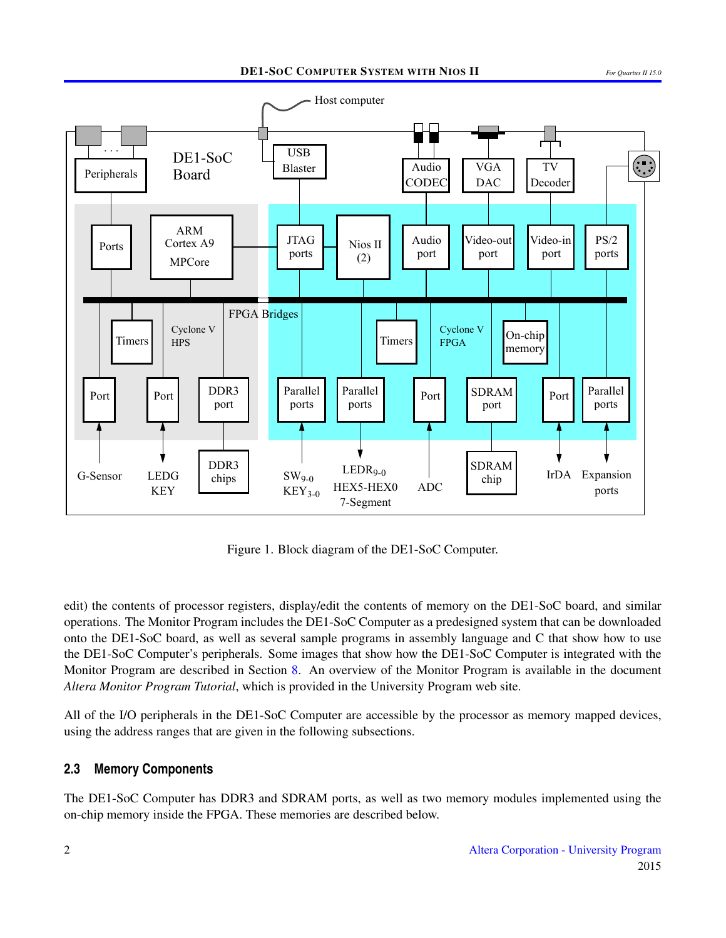<span id="page-1-0"></span>

Figure 1. Block diagram of the DE1-SoC Computer.

edit) the contents of processor registers, display/edit the contents of memory on the DE1-SoC board, and similar operations. The Monitor Program includes the DE1-SoC Computer as a predesigned system that can be downloaded onto the DE1-SoC board, as well as several sample programs in assembly language and C that show how to use the DE1-SoC Computer's peripherals. Some images that show how the DE1-SoC Computer is integrated with the Monitor Program are described in Section [8.](#page-42-0) An overview of the Monitor Program is available in the document *Altera Monitor Program Tutorial*, which is provided in the University Program web site.

All of the I/O peripherals in the DE1-SoC Computer are accessible by the processor as memory mapped devices, using the address ranges that are given in the following subsections.

#### **2.3 Memory Components**

The DE1-SoC Computer has DDR3 and SDRAM ports, as well as two memory modules implemented using the on-chip memory inside the FPGA. These memories are described below.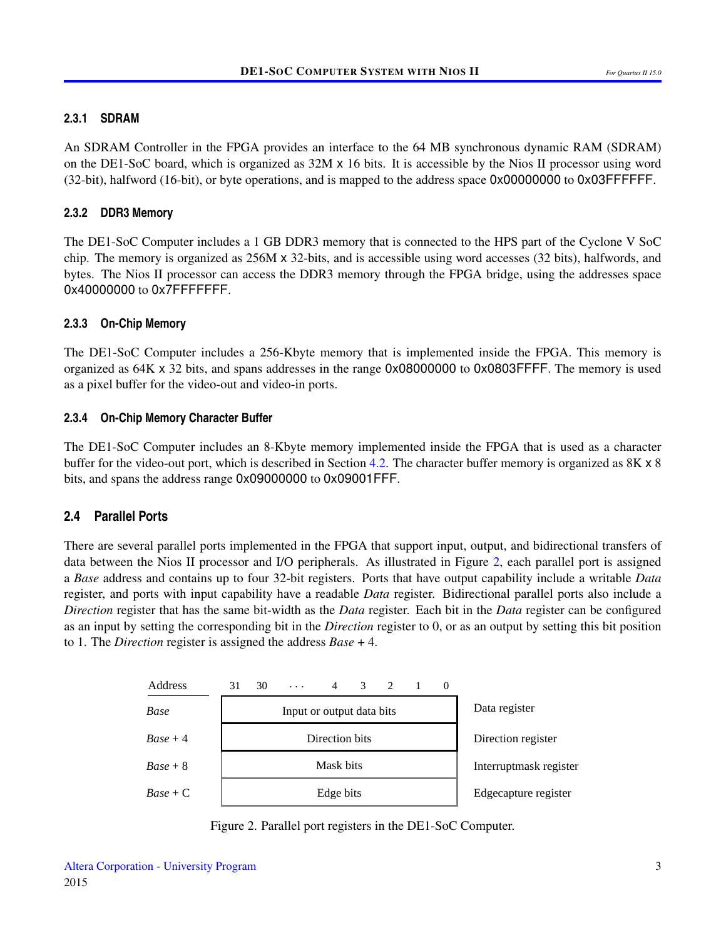#### **2.3.1 SDRAM**

An SDRAM Controller in the FPGA provides an interface to the 64 MB synchronous dynamic RAM (SDRAM) on the DE1-SoC board, which is organized as 32M x 16 bits. It is accessible by the Nios II processor using word (32-bit), halfword (16-bit), or byte operations, and is mapped to the address space 0x00000000 to 0x03FFFFFF.

#### **2.3.2 DDR3 Memory**

The DE1-SoC Computer includes a 1 GB DDR3 memory that is connected to the HPS part of the Cyclone V SoC chip. The memory is organized as 256M x 32-bits, and is accessible using word accesses (32 bits), halfwords, and bytes. The Nios II processor can access the DDR3 memory through the FPGA bridge, using the addresses space 0x40000000 to 0x7FFFFFFFF.

#### **2.3.3 On-Chip Memory**

The DE1-SoC Computer includes a 256-Kbyte memory that is implemented inside the FPGA. This memory is organized as 64K x 32 bits, and spans addresses in the range 0x08000000 to 0x0803FFFF. The memory is used as a pixel buffer for the video-out and video-in ports.

#### **2.3.4 On-Chip Memory Character Buffer**

The DE1-SoC Computer includes an 8-Kbyte memory implemented inside the FPGA that is used as a character buffer for the video-out port, which is described in Section [4.2.](#page-31-0) The character buffer memory is organized as 8K x 8 bits, and spans the address range 0x09000000 to 0x09001FFF.

## **2.4 Parallel Ports**

There are several parallel ports implemented in the FPGA that support input, output, and bidirectional transfers of data between the Nios II processor and I/O peripherals. As illustrated in Figure [2,](#page-2-0) each parallel port is assigned a *Base* address and contains up to four 32-bit registers. Ports that have output capability include a writable *Data* register, and ports with input capability have a readable *Data* register. Bidirectional parallel ports also include a *Direction* register that has the same bit-width as the *Data* register. Each bit in the *Data* register can be configured as an input by setting the corresponding bit in the *Direction* register to 0, or as an output by setting this bit position to 1. The *Direction* register is assigned the address *Base* + 4.

<span id="page-2-0"></span>

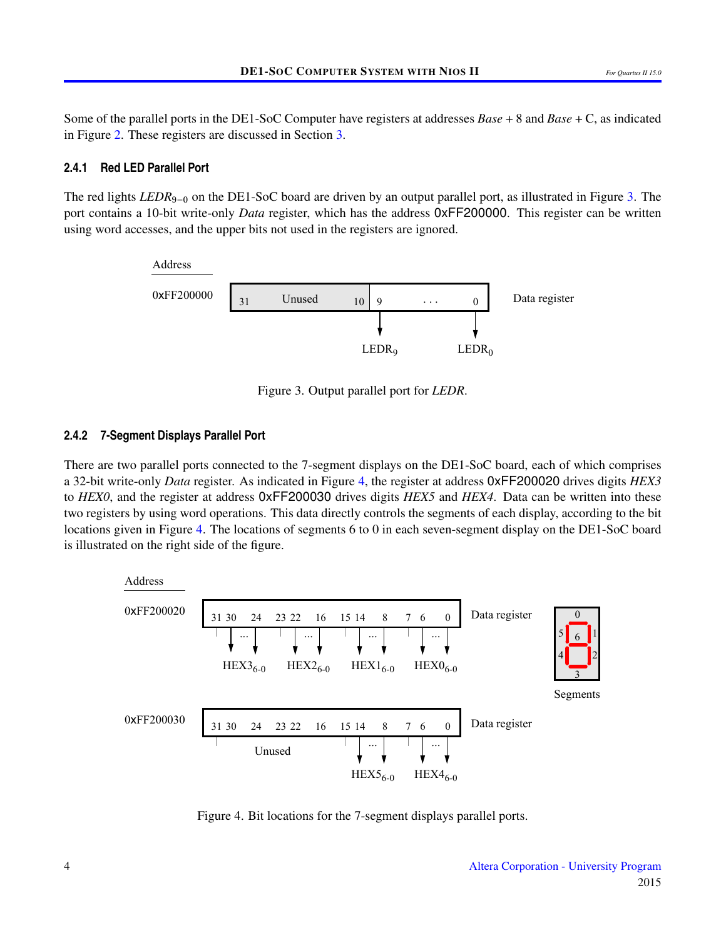Some of the parallel ports in the DE1-SoC Computer have registers at addresses *Base* + 8 and *Base* + C, as indicated in Figure [2.](#page-2-0) These registers are discussed in Section [3.](#page-13-0)

#### **2.4.1 Red LED Parallel Port**

<span id="page-3-0"></span>The red lights *LEDR*<sub>9−0</sub> on the DE1-SoC board are driven by an output parallel port, as illustrated in Figure [3.](#page-3-0) The port contains a 10-bit write-only *Data* register, which has the address 0xFF200000. This register can be written using word accesses, and the upper bits not used in the registers are ignored.



Figure 3. Output parallel port for *LEDR*.

## **2.4.2 7-Segment Displays Parallel Port**

There are two parallel ports connected to the 7-segment displays on the DE1-SoC board, each of which comprises a 32-bit write-only *Data* register. As indicated in Figure [4,](#page-3-1) the register at address 0xFF200020 drives digits *HEX3* to *HEX0*, and the register at address 0xFF200030 drives digits *HEX5* and *HEX4*. Data can be written into these two registers by using word operations. This data directly controls the segments of each display, according to the bit locations given in Figure [4.](#page-3-1) The locations of segments 6 to 0 in each seven-segment display on the DE1-SoC board is illustrated on the right side of the figure.

<span id="page-3-1"></span>

Figure 4. Bit locations for the 7-segment displays parallel ports.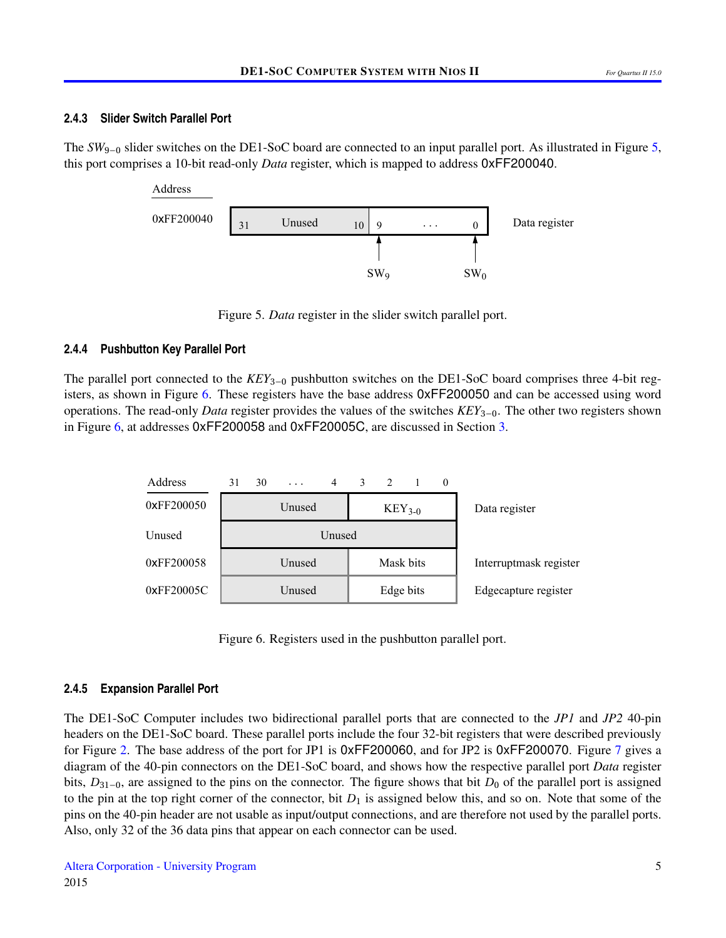#### **2.4.3 Slider Switch Parallel Port**

<span id="page-4-0"></span>The *SW*<sub>9−0</sub> slider switches on the DE1-SoC board are connected to an input parallel port. As illustrated in Figure [5,](#page-4-0) this port comprises a 10-bit read-only *Data* register, which is mapped to address 0xFF200040.



Figure 5. *Data* register in the slider switch parallel port.

## **2.4.4 Pushbutton Key Parallel Port**

The parallel port connected to the *KEY*3−<sup>0</sup> pushbutton switches on the DE1-SoC board comprises three 4-bit registers, as shown in Figure [6.](#page-4-1) These registers have the base address 0xFF200050 and can be accessed using word operations. The read-only *Data* register provides the values of the switches *KEY*3−0. The other two registers shown in Figure [6,](#page-4-1) at addresses 0xFF200058 and 0xFF20005C, are discussed in Section [3.](#page-13-0)

<span id="page-4-1"></span>

Figure 6. Registers used in the pushbutton parallel port.

#### **2.4.5 Expansion Parallel Port**

The DE1-SoC Computer includes two bidirectional parallel ports that are connected to the *JP1* and *JP2* 40-pin headers on the DE1-SoC board. These parallel ports include the four 32-bit registers that were described previously for Figure [2.](#page-2-0) The base address of the port for JP1 is 0xFF200060, and for JP2 is 0xFF200070. Figure [7](#page-5-0) gives a diagram of the 40-pin connectors on the DE1-SoC board, and shows how the respective parallel port *Data* register bits, *D*<sub>31−0</sub>, are assigned to the pins on the connector. The figure shows that bit *D*<sub>0</sub> of the parallel port is assigned to the pin at the top right corner of the connector, bit  $D_1$  is assigned below this, and so on. Note that some of the pins on the 40-pin header are not usable as input/output connections, and are therefore not used by the parallel ports. Also, only 32 of the 36 data pins that appear on each connector can be used.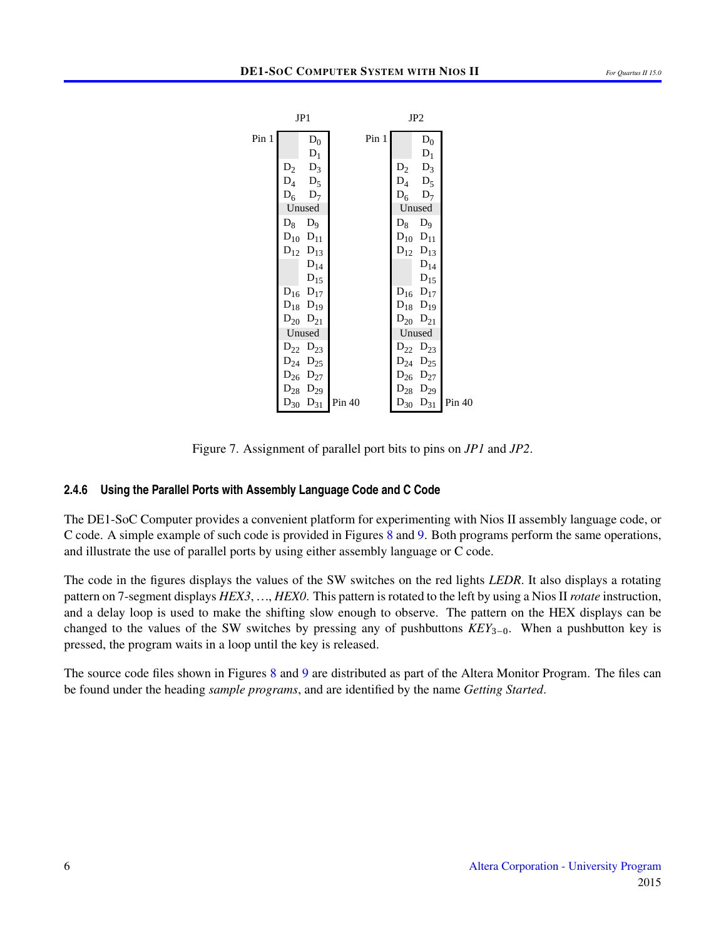<span id="page-5-0"></span>

|       | JP1               | JP <sub>2</sub> |       |             |                   |        |
|-------|-------------------|-----------------|-------|-------------|-------------------|--------|
| Pin 1 | $D_0$             |                 | Pin 1 |             | $D_0$             |        |
|       | $D_1$             |                 |       |             | $D_1$             |        |
|       | $D_2$ $D_3$       |                 |       | $D_2$       | $D_3$             |        |
|       | $D_4$ $D_5$       |                 |       | $D_4$ $D_5$ |                   |        |
|       | $D_6$ $D_7$       |                 |       | $D_6$ $D_7$ |                   |        |
|       | Unused            |                 |       |             | Unused            |        |
|       | $D_8$ $D_9$       |                 |       | $D_8$ $D_9$ |                   |        |
|       | $D_{10}$ $D_{11}$ |                 |       |             | $D_{10}$ $D_{11}$ |        |
|       | $D_{12}$ $D_{13}$ |                 |       |             | $D_{12}$ $D_{13}$ |        |
|       | $\mathrm{D}_{14}$ |                 |       |             | $D_{14}$          |        |
|       | $D_{15}$          |                 |       |             | $D_{15}$          |        |
|       | $D_{16}$ $D_{17}$ |                 |       |             | $D_{16}$ $D_{17}$ |        |
|       | $D_{18}$ $D_{19}$ |                 |       |             | $D_{18}$ $D_{19}$ |        |
|       | $D_{20}$ $D_{21}$ |                 |       |             | $D_{20}$ $D_{21}$ |        |
|       | Unused            |                 |       | Unused      |                   |        |
|       | $D_{22}$ $D_{23}$ |                 |       |             | $D_{22}$ $D_{23}$ |        |
|       | $D_{24}$ $D_{25}$ |                 |       |             | $D_{24}$ $D_{25}$ |        |
|       | $D_{26}$ $D_{27}$ |                 |       |             | $D_{26}$ $D_{27}$ |        |
|       | $D_{28}$ $D_{29}$ |                 |       |             | $D_{28}$ $D_{29}$ |        |
|       | $D_{30}$ $D_{31}$ | Pin 40          |       |             | $D_{30}$ $D_{31}$ | Pin 40 |
|       |                   |                 |       |             |                   |        |

Figure 7. Assignment of parallel port bits to pins on *JP1* and *JP2*.

#### **2.4.6 Using the Parallel Ports with Assembly Language Code and C Code**

The DE1-SoC Computer provides a convenient platform for experimenting with Nios II assembly language code, or C code. A simple example of such code is provided in Figures [8](#page-6-0) and [9.](#page-7-0) Both programs perform the same operations, and illustrate the use of parallel ports by using either assembly language or C code.

The code in the figures displays the values of the SW switches on the red lights *LEDR*. It also displays a rotating pattern on 7-segment displays *HEX3*, ..., *HEX0*. This pattern is rotated to the left by using a Nios II *rotate* instruction, and a delay loop is used to make the shifting slow enough to observe. The pattern on the HEX displays can be changed to the values of the SW switches by pressing any of pushbuttons *KEY*3−0. When a pushbutton key is pressed, the program waits in a loop until the key is released.

The source code files shown in Figures [8](#page-6-0) and [9](#page-7-0) are distributed as part of the Altera Monitor Program. The files can be found under the heading *sample programs*, and are identified by the name *Getting Started*.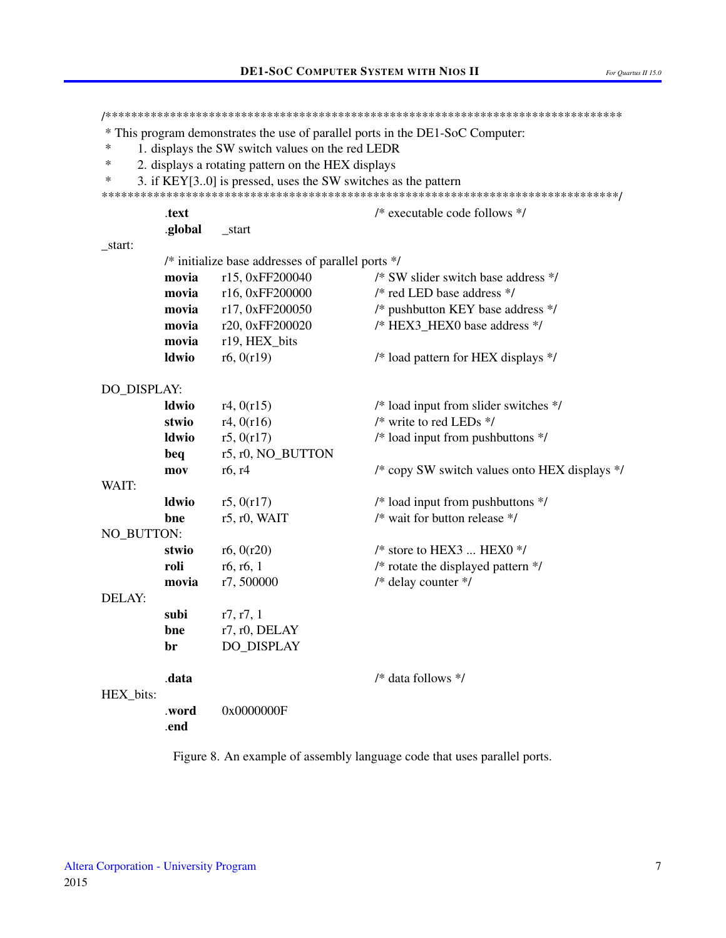<span id="page-6-0"></span>\* This program demonstrates the use of parallel ports in the DE1-SoC Computer:  $\ast$ 1. displays the SW switch values on the red LEDR  $\ast$ 2. displays a rotating pattern on the HEX displays  $\ast$ 3. if KEY[3..0] is pressed, uses the SW switches as the pattern .text /\* executable code follows \*/ .global start \_start: /\* initialize base addresses of parallel ports \*/ r15, 0xFF200040 movia /\* SW slider switch base address \*/ movia r16, 0xFF200000 /\* red LED base address \*/ movia /\* pushbutton KEY base address \*/ r17, 0xFF200050 movia r20, 0xFF200020 /\* HEX3 HEX0 base address \*/ movia r19, HEX bits **Idwio**  $r6, 0(r19)$ /\* load pattern for HEX displays \*/ DO\_DISPLAY: **Idwio**  $r4, 0(r15)$ /\* load input from slider switches \*/ stwio  $r4, 0(r16)$  $/*$  write to red LEDs  $*/$ **ldwio**  $r5, 0(r17)$  $/*$  load input from pushbuttons  $*/$ beq r5, r0, NO\_BUTTON /\* copy SW switch values onto HEX displays \*/ mov  $r6, r4$ WAIT: **Idwio**  $r5, 0(r17)$ /\* load input from pushbuttons \*/  $/*$  wait for button release  $*/$ hne  $r5$ ,  $r0$ , WAIT NO BUTTON:  $/*$  store to HEX3 ... HEX0  $*/$ stwio r<sub>6</sub>.  $0(r20)$ /\* rotate the displayed pattern \*/ roli  $r6, r6, 1$ movia r7,500000 /\* delay counter \*/ DELAY· subi  $r7, r7, 1$ hne r7, r0, DELAY br DO DISPLAY /\* data follows \*/ .data HEX\_bits: .word 0x0000000F end

Figure 8. An example of assembly language code that uses parallel ports.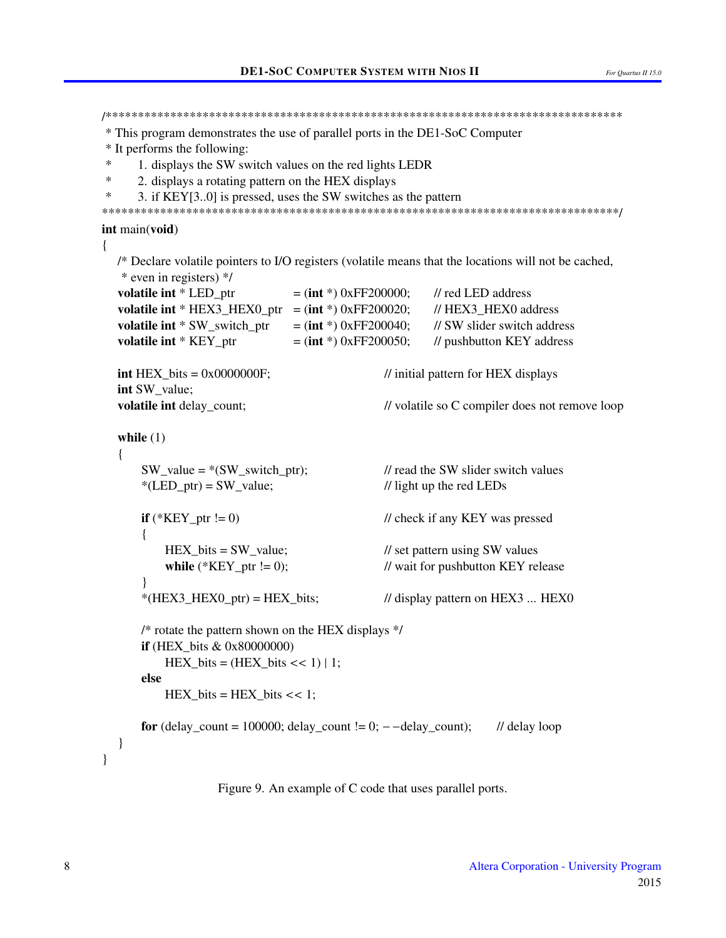```
* This program demonstrates the use of parallel ports in the DE1-SoC Computer
* It performs the following:
\ast1. displays the SW switch values on the red lights LEDR
\ast2. displays a rotating pattern on the HEX displays
\ast3. if KEY[3..0] is pressed, uses the SW switches as the pattern
int main(void)
\{/* Declare volatile pointers to I/O registers (volatile means that the locations will not be cached,
   * even in registers) */
  volatile int * LED ptr
                               = (int *) 0xFF200000;
                                                       // red LED address
  volatile int * HEX3 HEX0 ptr = (int * ) 0xFF200020;
                                                       // HEX3 HEX0 addressvolatile int * SW_switch_ptr
                                                       // SW slider switch address
                               = (int *) 0xFF200040;
  volatile int * KEY ptr
                               = (int *) 0xFF200050;
                                                       // pushbutton KEY address
  int HEX bits = 0x0000000F;
                                              // initial pattern for HEX displays
  int SW value;
  volatile int delay count:
                                              // volatile so C compiler does not remove loop
  while (1)\{SW value = *(SW switch ptr);
                                              // read the SW slider switch values
      *(LED_ptr) = SW_value;// light up the red LEDs
      if (*KEY ptr != 0)// check if any KEY was pressed
      \{HEX bits = SW value;
                                              // set pattern using SW values
                                              // wait for pushbutton KEY release
          while (*KEY\_ptr != 0);*(HEX3_HEX0_ptr) = HEX_bits;// display pattern on HEX3 ... HEX0
      /* rotate the pattern shown on the HEX displays */if (HEX bits \& 0x80000000)
          HEX\_bits = (HEX\_bits << 1) | 1;else
          HEX_bits = HEX_bits << 1;for (delay count = 100000; delay count != 0; - -delay count);
                                                                 // delay loop
  \left\{ \right\}\mathcal{E}
```
Figure 9. An example of C code that uses parallel ports.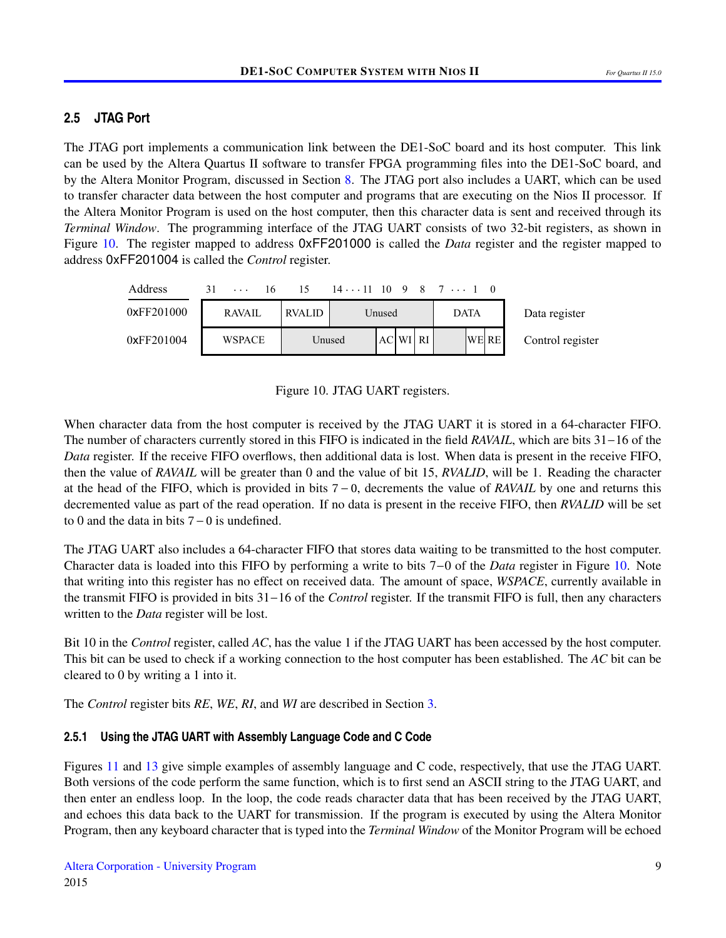## <span id="page-8-1"></span>**2.5 JTAG Port**

The JTAG port implements a communication link between the DE1-SoC board and its host computer. This link can be used by the Altera Quartus II software to transfer FPGA programming files into the DE1-SoC board, and by the Altera Monitor Program, discussed in Section [8.](#page-42-0) The JTAG port also includes a UART, which can be used to transfer character data between the host computer and programs that are executing on the Nios II processor. If the Altera Monitor Program is used on the host computer, then this character data is sent and received through its *Terminal Window*. The programming interface of the JTAG UART consists of two 32-bit registers, as shown in Figure [10.](#page-8-0) The register mapped to address 0xFF201000 is called the *Data* register and the register mapped to address 0xFF201004 is called the *Control* register.

<span id="page-8-0"></span>

| Address    | 31            | 15            |        |          | $1411$ 10 9 8 7 $\ldots$ 1 0 |                  |
|------------|---------------|---------------|--------|----------|------------------------------|------------------|
| 0xFF201000 | <b>RAVAIL</b> | <b>RVALID</b> |        | Unused   | <b>DATA</b>                  | Data register    |
| 0xFF201004 | <b>WSPACE</b> |               | Unused | AC WI RI | <b>WE RE</b>                 | Control register |

Figure 10. JTAG UART registers.

When character data from the host computer is received by the JTAG UART it is stored in a 64-character FIFO. The number of characters currently stored in this FIFO is indicated in the field *RAVAIL*, which are bits 31−16 of the *Data* register. If the receive FIFO overflows, then additional data is lost. When data is present in the receive FIFO, then the value of *RAVAIL* will be greater than 0 and the value of bit 15, *RVALID*, will be 1. Reading the character at the head of the FIFO, which is provided in bits 7 − 0, decrements the value of *RAVAIL* by one and returns this decremented value as part of the read operation. If no data is present in the receive FIFO, then *RVALID* will be set to 0 and the data in bits 7−0 is undefined.

The JTAG UART also includes a 64-character FIFO that stores data waiting to be transmitted to the host computer. Character data is loaded into this FIFO by performing a write to bits 7−0 of the *Data* register in Figure [10.](#page-8-0) Note that writing into this register has no effect on received data. The amount of space, *WSPACE*, currently available in the transmit FIFO is provided in bits 31−16 of the *Control* register. If the transmit FIFO is full, then any characters written to the *Data* register will be lost.

Bit 10 in the *Control* register, called *AC*, has the value 1 if the JTAG UART has been accessed by the host computer. This bit can be used to check if a working connection to the host computer has been established. The *AC* bit can be cleared to 0 by writing a 1 into it.

The *Control* register bits *RE*, *WE*, *RI*, and *WI* are described in Section [3.](#page-13-0)

## **2.5.1 Using the JTAG UART with Assembly Language Code and C Code**

Figures [11](#page-9-0) and [13](#page-12-0) give simple examples of assembly language and C code, respectively, that use the JTAG UART. Both versions of the code perform the same function, which is to first send an ASCII string to the JTAG UART, and then enter an endless loop. In the loop, the code reads character data that has been received by the JTAG UART, and echoes this data back to the UART for transmission. If the program is executed by using the Altera Monitor Program, then any keyboard character that is typed into the *Terminal Window* of the Monitor Program will be echoed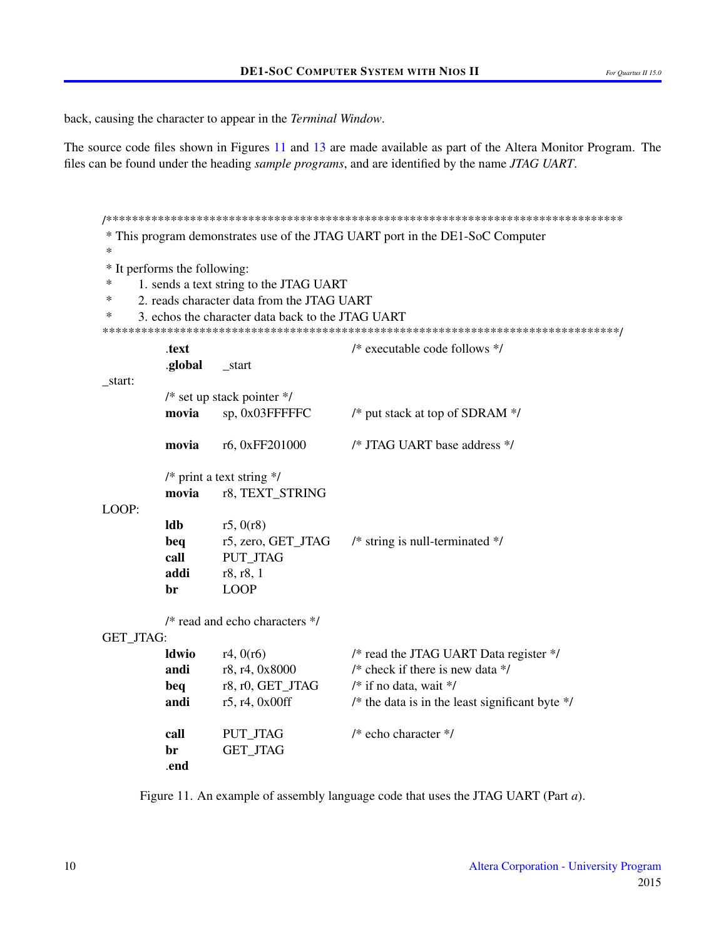back, causing the character to appear in the *Terminal Window*.

The source code files shown in Figures 11 and 13 are made available as part of the Altera Monitor Program. The files can be found under the heading *sample programs*, and are identified by the name *JTAG UART*.

<span id="page-9-0"></span>\* This program demonstrates use of the JTAG UART port in the DE1-SoC Computer  $\ast$ \* It performs the following:  $\ast$ 1. sends a text string to the JTAG UART  $\ast$ 2. reads character data from the JTAG UART  $\star$ 3. echos the character data back to the JTAG UART  $/*$  executable code follows  $*/$ text .global start \_start:  $/*$  set up stack pointer  $*/$ movia sp, 0x03FFFFFC /\* put stack at top of SDRAM \*/ /\* JTAG UART base address \*/ movia r6, 0xFF201000  $/*$  print a text string  $*/$ movia r8, TEXT STRING LOOP: ldb  $r5, 0(r8)$ beq r5, zero, GET JTAG  $/*$  string is null-terminated  $*/$ call PUT JTAG ibba r8, r8, 1 **LOOP** hr  $/*$  read and echo characters  $*/$ GET\_JTAG: /\* read the JTAG UART Data register \*/ **ldwio**  $r4, 0(r6)$ andi r8, r4, 0x8000 /\* check if there is new data  $*/$ r8, r0, GET JTAG  $/*$  if no data, wait  $*/$ beq andi  $r5, r4, 0x00ff$ /\* the data is in the least significant byte  $\frac{*}{ }$  $/*$  echo character  $*/$ call **PUT JTAG** br **GET JTAG** .end

Figure 11. An example of assembly language code that uses the JTAG UART (Part *a*).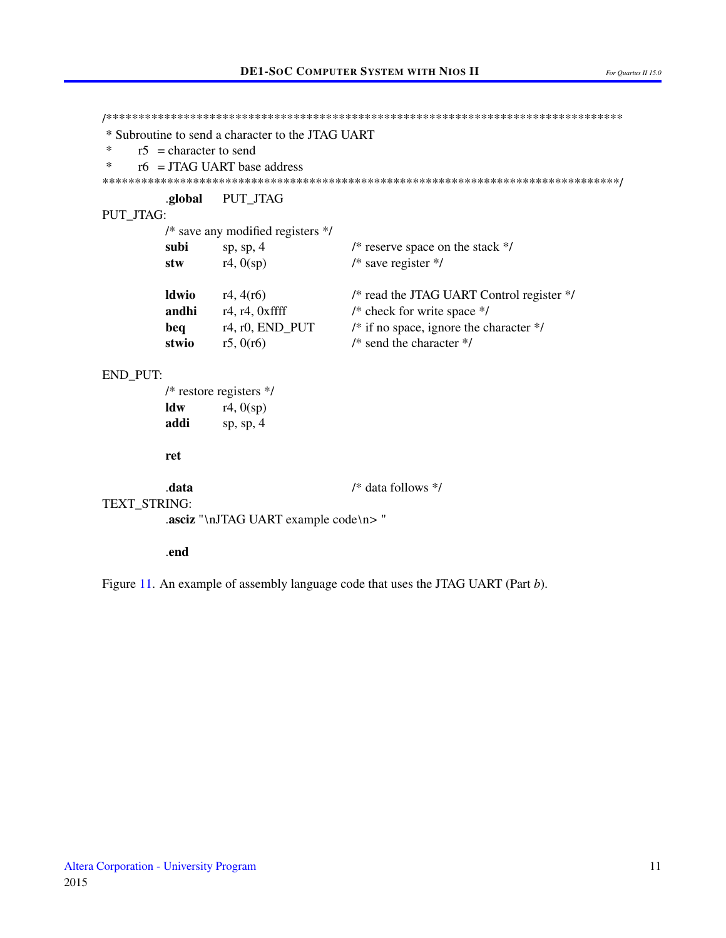```
* Subroutine to send a character to the JTAG UART
\astr5 = character to send
\astr6 = JTAG UART base address
.global
                PUT_JTAG
PUT_JTAG:
        /* save any modified registers */
                                   /* reserve space on the stack */subi
                sp, sp, 4/* save register */stw
                r4, 0(sp)ldwio
                r4, 4(r6)/* read the JTAG UART Control register */
        andhi
                r4, r4, 0xffff
                                   /* check for write space */
                r4, r0, END PUT
                                   /* if no space, ignore the character */beq
                r5, 0(r6)/* send the character */stwio
END_PUT:
        /* restore registers */\mathbf{ldw}r4, 0(sp)addi
                sp, sp, 4ret
        .data
                                   /* data follows */
TEXT_STRING:
        .asciz "\nJTAG UART example code\n>"
        .end
```
Figure 11. An example of assembly language code that uses the JTAG UART (Part b).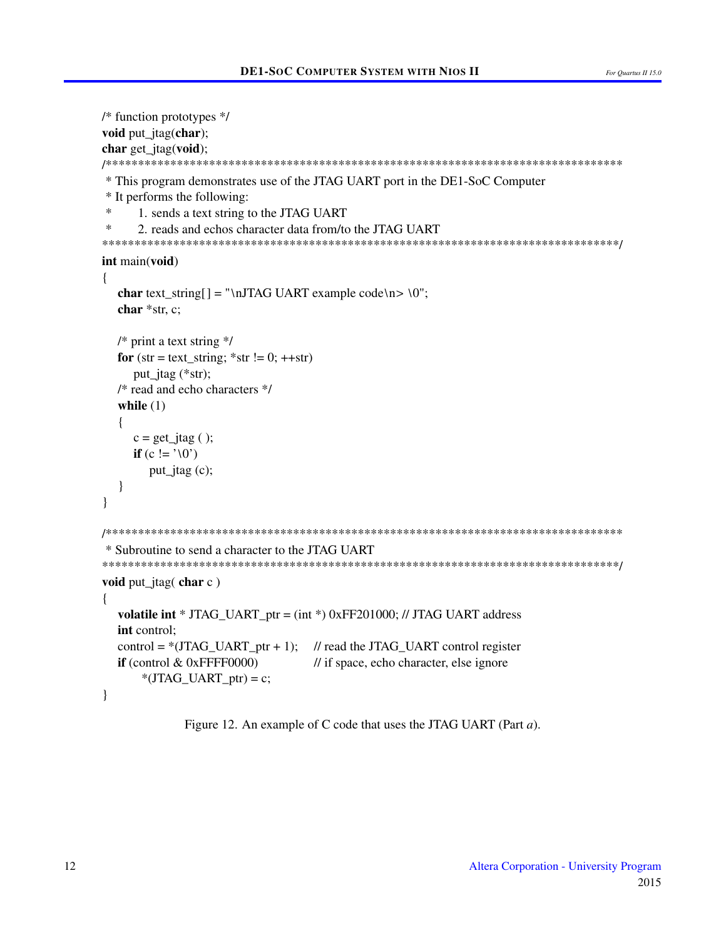```
/* function prototypes */void put_jtag(char);
char get_jtag(void);
* This program demonstrates use of the JTAG UART port in the DE1-SoC Computer
* It performs the following:
\ast1. sends a text string to the JTAG UART
\ast2. reads and echos character data from/to the JTAG UART
int main(void)
\{char text_string[] = "\nJTAG UART example code\n> \0";
  char *str. c:
 /* print a text string */for (str = text\_string; *str != 0; ++str)put jtag (*str);
 /* read and echo characters */
  while (1)\{c = get\_jtag();
    if (c := '0')put_jtag(c);
  \mathcal{E}\mathcal{E}* Subroutine to send a character to the JTAG UART
void put_jtag( char c)
\{volatile int * JTAG_UART_ptr = (int * ) 0xFF201000; // JTAG UART address
 int control:
  control = *(JTAG UART ptr + 1); // read the JTAG UART control register
 if (control \& 0xFFFF0000)
                            // if space, echo character, else ignore
     *(JTAG_UART_ptr) = c;\mathcal{L}
```
Figure 12. An example of C code that uses the JTAG UART (Part  $a$ ).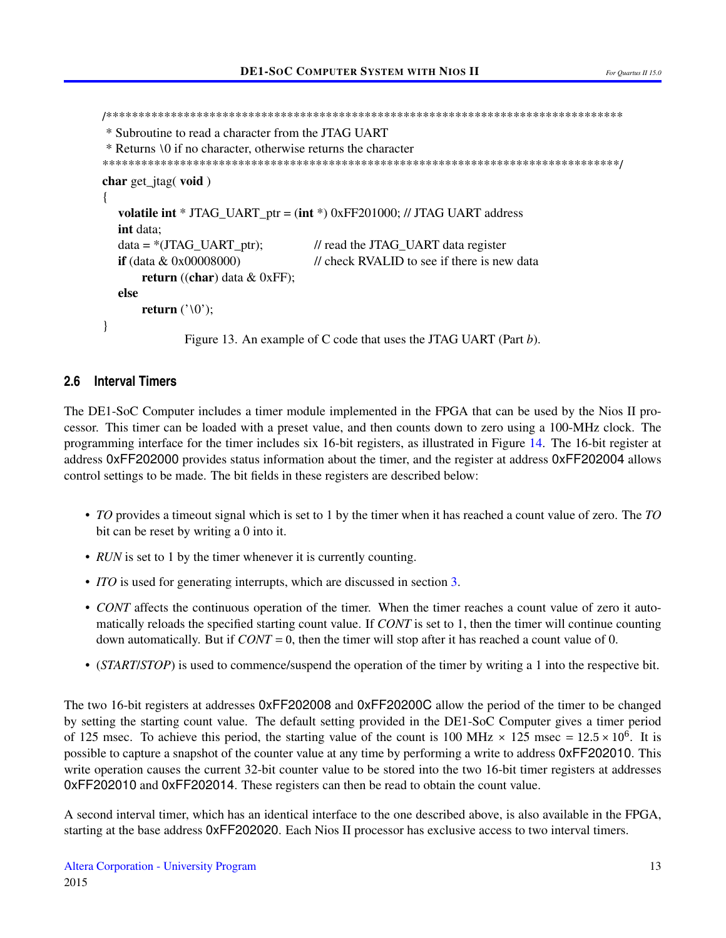```
* Subroutine to read a character from the JTAG UART
* Returns \0 if no character, otherwise returns the character
char get\_jtag(void)\mathbf{I}volatile int * JTAG_UART_ptr = (int * ) 0xFF201000; // JTAG UART address
  int data:
  data = *(JTAG_UART\_ptr);// read the JTAG_UART data register
                            // check RVALID to see if there is new data
  if (data & 0x00008000)return ((char) data \& 0xFF);
  else
     return ('0');\mathcal{E}Figure 13. An example of C code that uses the JTAG UART (Part b).
```
#### <span id="page-12-1"></span>**Interval Timers**  $2.6$

The DE1-SoC Computer includes a timer module implemented in the FPGA that can be used by the Nios II processor. This timer can be loaded with a preset value, and then counts down to zero using a 100-MHz clock. The programming interface for the timer includes six 16-bit registers, as illustrated in Figure 14. The 16-bit register at address 0xFF202000 provides status information about the timer, and the register at address 0xFF202004 allows control settings to be made. The bit fields in these registers are described below:

- TO provides a timeout signal which is set to 1 by the timer when it has reached a count value of zero. The TO bit can be reset by writing a 0 into it.
- RUN is set to 1 by the timer whenever it is currently counting.
- *ITO* is used for generating interrupts, which are discussed in section 3.
- CONT affects the continuous operation of the timer. When the timer reaches a count value of zero it automatically reloads the specified starting count value. If CONT is set to 1, then the timer will continue counting down automatically. But if  $CONT = 0$ , then the timer will stop after it has reached a count value of 0.
- (*START/STOP*) is used to commence/suspend the operation of the timer by writing a 1 into the respective bit.

The two 16-bit registers at addresses 0xFF202008 and 0xFF20200C allow the period of the timer to be changed by setting the starting count value. The default setting provided in the DE1-SoC Computer gives a timer period of 125 msec. To achieve this period, the starting value of the count is 100 MHz  $\times$  125 msec = 12.5  $\times$  10<sup>6</sup>. It is possible to capture a snapshot of the counter value at any time by performing a write to address 0xFF202010. This write operation causes the current 32-bit counter value to be stored into the two 16-bit timer registers at addresses OxFF202010 and OxFF202014. These registers can then be read to obtain the count value.

A second interval timer, which has an identical interface to the one described above, is also available in the FPGA, starting at the base address 0xFF202020. Each Nios II processor has exclusive access to two interval timers.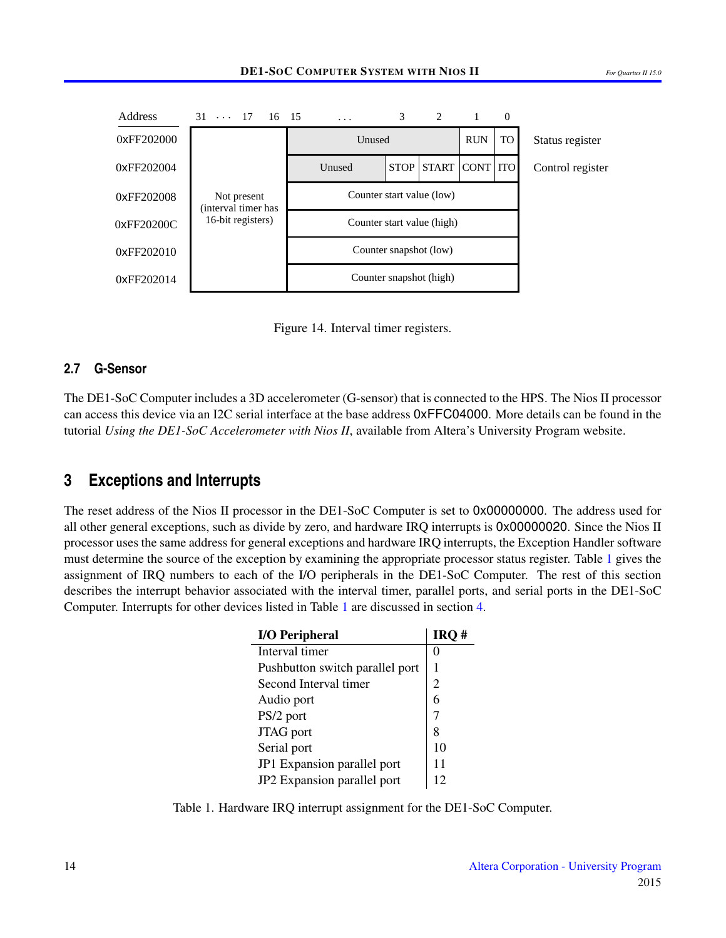<span id="page-13-1"></span>

Figure 14. Interval timer registers.

#### **2.7 G-Sensor**

The DE1-SoC Computer includes a 3D accelerometer (G-sensor) that is connected to the HPS. The Nios II processor can access this device via an I2C serial interface at the base address 0xFFC04000. More details can be found in the tutorial *Using the DE1-SoC Accelerometer with Nios II*, available from Altera's University Program website.

## <span id="page-13-0"></span>**3 Exceptions and Interrupts**

<span id="page-13-2"></span>The reset address of the Nios II processor in the DE1-SoC Computer is set to 0x00000000. The address used for all other general exceptions, such as divide by zero, and hardware IRQ interrupts is 0x00000020. Since the Nios II processor uses the same address for general exceptions and hardware IRQ interrupts, the Exception Handler software must determine the source of the exception by examining the appropriate processor status register. Table [1](#page-13-2) gives the assignment of IRQ numbers to each of the I/O peripherals in the DE1-SoC Computer. The rest of this section describes the interrupt behavior associated with the interval timer, parallel ports, and serial ports in the DE1-SoC Computer. Interrupts for other devices listed in Table [1](#page-13-2) are discussed in section [4.](#page-30-0)

| <b>I/O Peripheral</b>           | IRO# |
|---------------------------------|------|
| Interval timer                  |      |
| Pushbutton switch parallel port |      |
| Second Interval timer           | 2    |
| Audio port                      | 6    |
| PS/2 port                       |      |
| JTAG port                       | 8    |
| Serial port                     | 10   |
| JP1 Expansion parallel port     | 11   |
| JP2 Expansion parallel port     | 12   |

Table 1. Hardware IRQ interrupt assignment for the DE1-SoC Computer.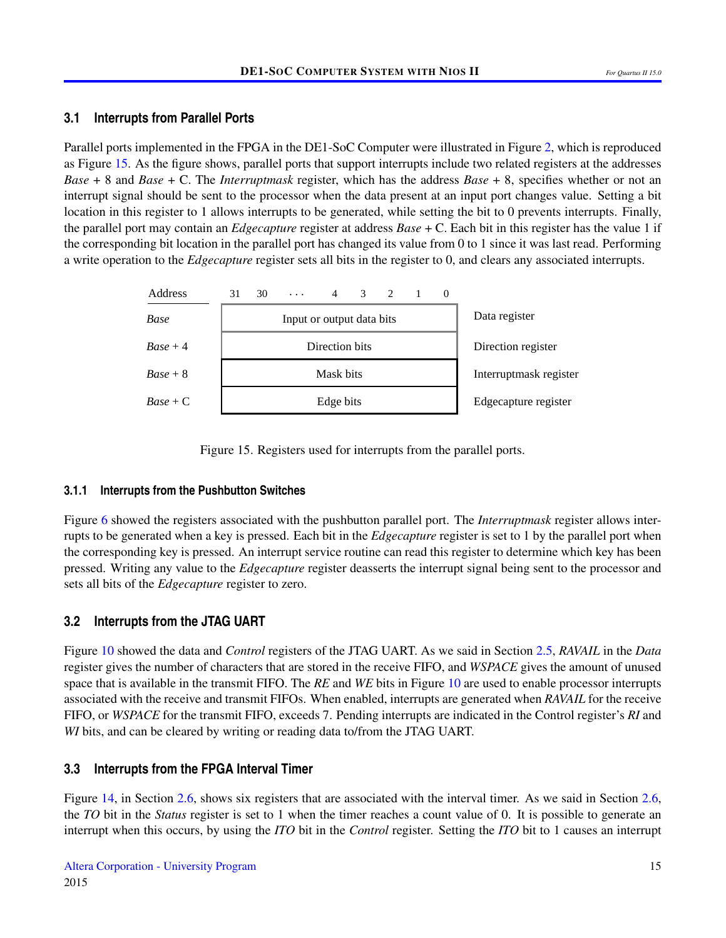#### **3.1 Interrupts from Parallel Ports**

Parallel ports implemented in the FPGA in the DE1-SoC Computer were illustrated in Figure [2,](#page-2-0) which is reproduced as Figure [15.](#page-14-0) As the figure shows, parallel ports that support interrupts include two related registers at the addresses *Base* + 8 and *Base* + C. The *Interruptmask* register, which has the address *Base* + 8, specifies whether or not an interrupt signal should be sent to the processor when the data present at an input port changes value. Setting a bit location in this register to 1 allows interrupts to be generated, while setting the bit to 0 prevents interrupts. Finally, the parallel port may contain an *Edgecapture* register at address *Base* + C. Each bit in this register has the value 1 if the corresponding bit location in the parallel port has changed its value from 0 to 1 since it was last read. Performing a write operation to the *Edgecapture* register sets all bits in the register to 0, and clears any associated interrupts.

<span id="page-14-0"></span>

Figure 15. Registers used for interrupts from the parallel ports.

#### **3.1.1 Interrupts from the Pushbutton Switches**

Figure [6](#page-4-1) showed the registers associated with the pushbutton parallel port. The *Interruptmask* register allows interrupts to be generated when a key is pressed. Each bit in the *Edgecapture* register is set to 1 by the parallel port when the corresponding key is pressed. An interrupt service routine can read this register to determine which key has been pressed. Writing any value to the *Edgecapture* register deasserts the interrupt signal being sent to the processor and sets all bits of the *Edgecapture* register to zero.

## **3.2 Interrupts from the JTAG UART**

Figure [10](#page-8-0) showed the data and *Control* registers of the JTAG UART. As we said in Section [2.5,](#page-8-1) *RAVAIL* in the *Data* register gives the number of characters that are stored in the receive FIFO, and *WSPACE* gives the amount of unused space that is available in the transmit FIFO. The *RE* and *WE* bits in Figure [10](#page-8-0) are used to enable processor interrupts associated with the receive and transmit FIFOs. When enabled, interrupts are generated when *RAVAIL* for the receive FIFO, or *WSPACE* for the transmit FIFO, exceeds 7. Pending interrupts are indicated in the Control register's *RI* and *WI* bits, and can be cleared by writing or reading data to/from the JTAG UART.

## **3.3 Interrupts from the FPGA Interval Timer**

Figure [14,](#page-13-1) in Section [2.6,](#page-12-1) shows six registers that are associated with the interval timer. As we said in Section 2.6, the *TO* bit in the *Status* register is set to 1 when the timer reaches a count value of 0. It is possible to generate an interrupt when this occurs, by using the *ITO* bit in the *Control* register. Setting the *ITO* bit to 1 causes an interrupt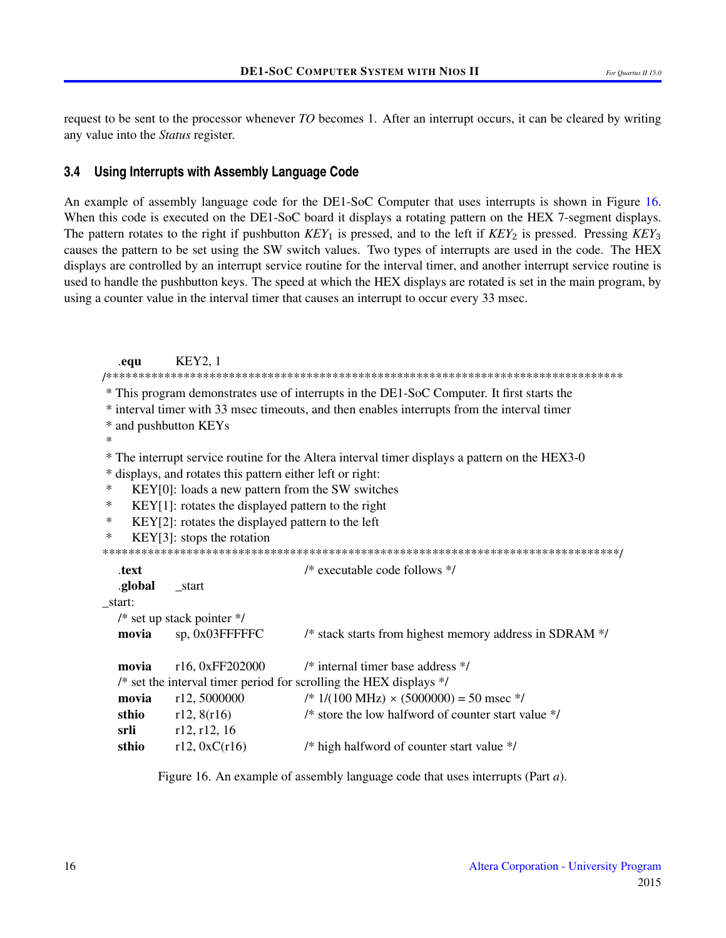request to be sent to the processor whenever *TO* becomes 1. After an interrupt occurs, it can be cleared by writing any value into the *Status* register.

#### **3.4 Using Interrupts with Assembly Language Code**

An example of assembly language code for the DE1-SoC Computer that uses interrupts is shown in Figure [16.](#page-15-0) When this code is executed on the DE1-SoC board it displays a rotating pattern on the HEX 7-segment displays. The pattern rotates to the right if pushbutton *KEY*<sub>1</sub> is pressed, and to the left if *KEY*<sub>2</sub> is pressed. Pressing *KEY*<sub>3</sub> causes the pattern to be set using the SW switch values. Two types of interrupts are used in the code. The HEX displays are controlled by an interrupt service routine for the interval timer, and another interrupt service routine is used to handle the pushbutton keys. The speed at which the HEX displays are rotated is set in the main program, by using a counter value in the interval timer that causes an interrupt to occur every 33 msec.

```
.equ KEY2, 1
/********************************************************************************
* This program demonstrates use of interrupts in the DE1-SoC Computer. It first starts the
* interval timer with 33 msec timeouts, and then enables interrupts from the interval timer
* and pushbutton KEYs
*
* The interrupt service routine for the Altera interval timer displays a pattern on the HEX3-0
* displays, and rotates this pattern either left or right:
* KEY[0]: loads a new pattern from the SW switches
* KEY[1]: rotates the displayed pattern to the right
* KEY[2]: rotates the displayed pattern to the left
* KEY[3]: stops the rotation
********************************************************************************/
  .text /* executable code follows */
  .global start
_start:
  /* set up stack pointer */
  movia sp, 0x03FFFFFC /* stack starts from highest memory address in SDRAM */
  movia r16, 0xFF202000 /* internal timer base address */
  /* set the interval timer period for scrolling the HEX displays */
  movia r12, 5000000 /* 1/(100 \text{ MHz}) \times (5000000) = 50 \text{ msec} */
  sthio r12, 8(r16) /* store the low halfword of counter start value \frac{*}{s}srli r12, r12, 16
  sthio r12, 0xC(r16) /* high halfword of counter start value */
```
Figure 16. An example of assembly language code that uses interrupts (Part *a*).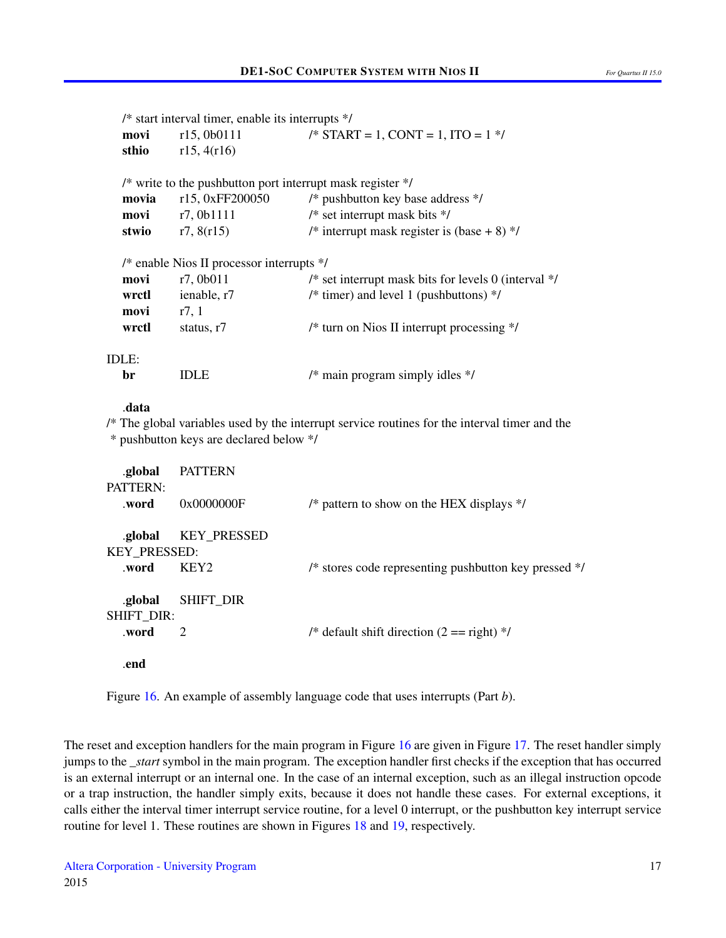|                     | $/*$ start interval timer, enable its interrupts $*/$ |                                                                                            |
|---------------------|-------------------------------------------------------|--------------------------------------------------------------------------------------------|
| movi                | r15,0b0111                                            | /* START = 1, CONT = 1, ITO = $1$ */                                                       |
| sthio               | r15, 4(r16)                                           |                                                                                            |
|                     |                                                       | /* write to the pushbutton port interrupt mask register */                                 |
| movia               |                                                       | r15, 0xFF200050 $\frac{\text{#} \times \text{#}}{\text{#}}$ pushbutton key base address */ |
|                     | <b>movi</b> r7, 0b1111                                | $/*$ set interrupt mask bits $*/$                                                          |
|                     | <b>stwio</b> $r7, 8(r15)$                             | /* interrupt mask register is (base + 8) $*/$                                              |
|                     | /* enable Nios II processor interrupts */             |                                                                                            |
| movi                | r7, 0b011                                             | /* set interrupt mask bits for levels 0 (interval $*/$                                     |
| wrctl               | ienable, r7                                           | /* timer) and level 1 (pushbuttons) $\frac{*}{ }$                                          |
| $\text{movi}$ r7, 1 |                                                       |                                                                                            |
| wrctl               | status, $r7$                                          | /* turn on Nios II interrupt processing */                                                 |
| IDLE:               |                                                       |                                                                                            |
| br                  | IDLE.                                                 | $/*$ main program simply idles $*/$                                                        |

#### .data

/\* The global variables used by the interrupt service routines for the interval timer and the \* pushbutton keys are declared below \*/

| .global<br>PATTERN:            | <b>PATTERN</b>     |                                                       |
|--------------------------------|--------------------|-------------------------------------------------------|
| .word                          | 0x0000000F         | /* pattern to show on the HEX displays $\frac{*}{s}$  |
| .global<br><b>KEY PRESSED:</b> | <b>KEY PRESSED</b> |                                                       |
| .word                          | KEY <sub>2</sub>   | /* stores code representing pushbutton key pressed */ |
| .global<br><b>SHIFT DIR:</b>   | <b>SHIFT DIR</b>   |                                                       |
| .word                          | 2                  | /* default shift direction $(2 == right)$ */          |
| .end                           |                    |                                                       |

Figure [16.](#page-15-0) An example of assembly language code that uses interrupts (Part *b*).

The reset and exception handlers for the main program in Figure [16](#page-15-0) are given in Figure [17.](#page-17-0) The reset handler simply jumps to the *\_start* symbol in the main program. The exception handler first checks if the exception that has occurred is an external interrupt or an internal one. In the case of an internal exception, such as an illegal instruction opcode or a trap instruction, the handler simply exits, because it does not handle these cases. For external exceptions, it calls either the interval timer interrupt service routine, for a level 0 interrupt, or the pushbutton key interrupt service routine for level 1. These routines are shown in Figures [18](#page-18-0) and [19,](#page-21-0) respectively.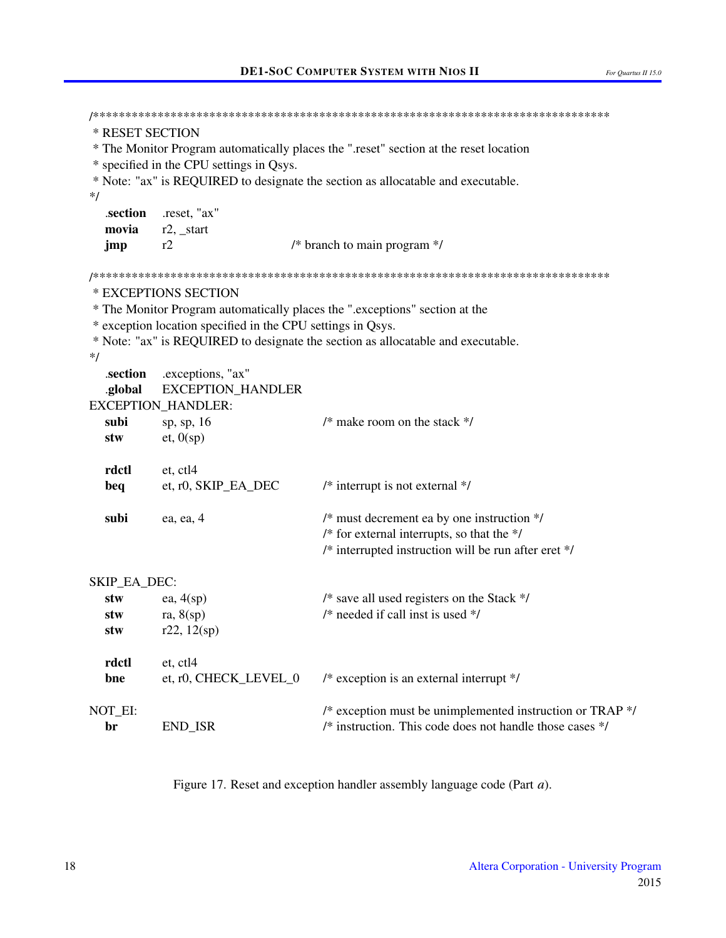```
* RESET SECTION
* The Monitor Program automatically places the ".reset" section at the reset location
* specified in the CPU settings in Qsys.
* Note: "ax" is REQUIRED to designate the section as allocatable and executable.
*/
  .section
           .reset, "ax"
  movia
           r2, start
           r2/* branch to main program */jmp
* EXCEPTIONS SECTION
* The Monitor Program automatically places the ".exceptions" section at the
* exception location specified in the CPU settings in Qsys.
* Note: "ax" is REQUIRED to designate the section as allocatable and executable.
*.section
           .exceptions, "ax"
  .global
           EXCEPTION HANDLER
EXCEPTION HANDLER:
  subi
           sp, sp, 16
                                     /* make room on the stack */stw
           et, 0(sp)rdctl
           et, ctl4
           et, r0, SKIP_EA_DEC
                                     /* interrupt is not external */beq
                                     /* must decrement ea by one instruction */subi
           ea, ea, 4
                                     /* for external interrupts, so that the *//* interrupted instruction will be run after eret */SKIP EA DEC:
  stw
           ea, 4(sp)/* save all used registers on the Stack *//* needed if call inst is used */ra, 8(sp)stw
  stw
           r22, 12(sp)rdctl
           et. ctl4
  bne
           et, r0, CHECK_LEVEL_0
                                     /* exception is an external interrupt */NOT_EI:
                                     /* exception must be unimplemented instruction or TRAP *//* instruction. This code does not handle those cases */br
           END ISR
```
Figure 17. Reset and exception handler assembly language code (Part *a*).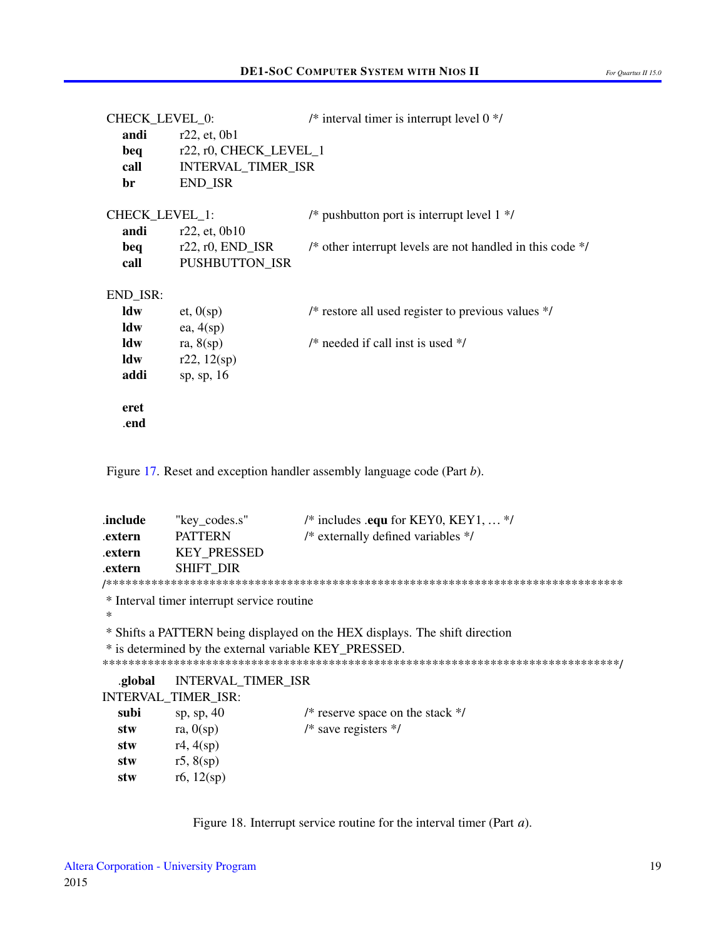| For Ouartus II 15.0 |  |
|---------------------|--|
|---------------------|--|

| CHECK_LEVEL_0: |                              | /* interval timer is interrupt level $0$ */                          |
|----------------|------------------------------|----------------------------------------------------------------------|
| andi           | r22, et, 0b1                 |                                                                      |
| beq            | r22, r0, CHECK_LEVEL_1       |                                                                      |
| call           | INTERVAL_TIMER_ISR           |                                                                      |
| br             | END_ISR                      |                                                                      |
| CHECK_LEVEL_1: |                              | /* pushbutton port is interrupt level $1$ */                         |
|                | <b>andi</b> $r22$ , et, 0b10 |                                                                      |
|                | $beg$ $r22, r0, END\_ISR$    | /* other interrupt levels are not handled in this code $\frac{*}{s}$ |
| call           | PUSHBUTTON_ISR               |                                                                      |
| END_ISR:       |                              |                                                                      |
| ldw            | et, 0(sp)                    | /* restore all used register to previous values $*/$                 |
| ldw            | ea, $4(sp)$                  |                                                                      |
| ldw            | ra, $8(sp)$                  | /* needed if call inst is used $*/$                                  |
| ldw            | r22, 12(sp)                  |                                                                      |
| addi           | sp, sp, 16                   |                                                                      |
| eret           |                              |                                                                      |
| .end           |                              |                                                                      |

Figure 17. Reset and exception handler assembly language code (Part b).

<span id="page-18-0"></span>

| .include | "key codes.s"      | /* includes .equ for KEY0, KEY1,  */   |
|----------|--------------------|----------------------------------------|
| .extern  | PATTERN            | $/*$ externally defined variables $*/$ |
| .extern  | <b>KEY PRESSED</b> |                                        |
| .extern  | SHIFT DIR          |                                        |
|          |                    |                                        |

\* Interval timer interrupt service routine

 $\ast$ 

\* Shifts a PATTERN being displayed on the HEX displays. The shift direction

\* is determined by the external variable KEY\_PRESSED.

.global INTERVAL\_TIMER\_ISR

|      | <b>INTERVAL TIMER ISR:</b> |                                    |
|------|----------------------------|------------------------------------|
| subi | sp, sp, $40$               | /* reserve space on the stack $*/$ |
| stw  | ra, $0(sp)$                | $/*$ save registers $*/$           |
| stw  | r4, 4(sp)                  |                                    |
| stw  | r5, 8(sp)                  |                                    |
| stw  | r6, $12(sp)$               |                                    |
|      |                            |                                    |

Figure 18. Interrupt service routine for the interval timer (Part  $a$ ).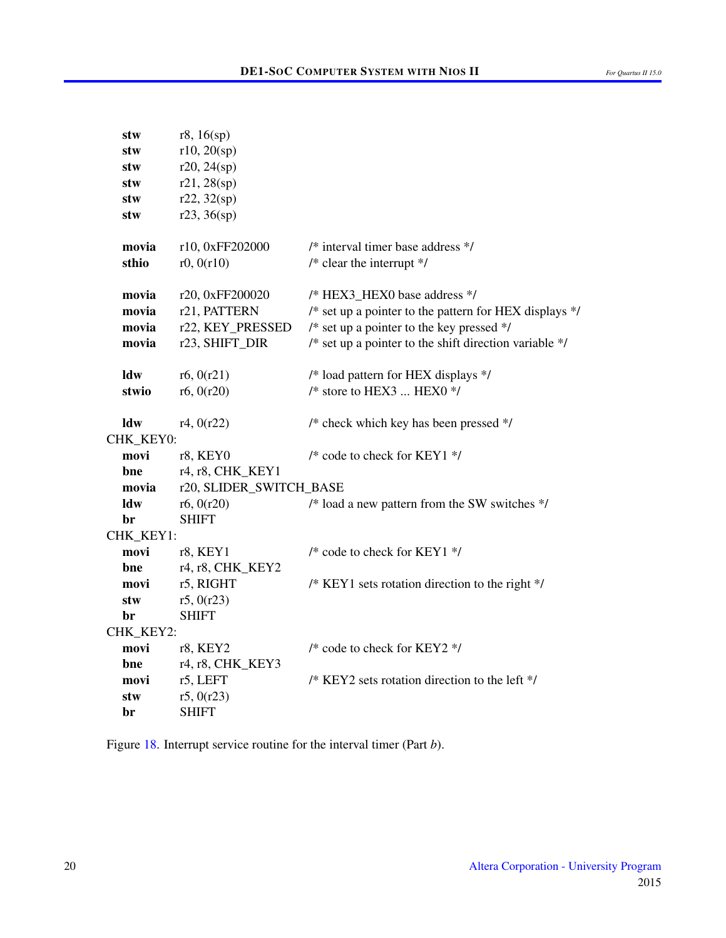| stw       | r8, 16(sp)              |                                                          |
|-----------|-------------------------|----------------------------------------------------------|
| stw       | r10, 20(sp)             |                                                          |
| stw       | r20, 24(sp)             |                                                          |
| stw       | r21, 28(sp)             |                                                          |
| stw       | r22, 32(sp)             |                                                          |
| stw       | r23, 36(sp)             |                                                          |
| movia     | r10, 0xFF202000         | /* interval timer base address */                        |
| sthio     | r0, 0(r10)              | $/*$ clear the interrupt $*$ /                           |
| movia     | r20, 0xFF200020         | /* HEX3_HEX0 base address */                             |
| movia     | r21, PATTERN            | /* set up a pointer to the pattern for HEX displays */   |
| movia     | r22, KEY_PRESSED        | /* set up a pointer to the key pressed */                |
| movia     | r23, SHIFT_DIR          | /* set up a pointer to the shift direction variable $*/$ |
| ldw       | r6, 0(r21)              | /* load pattern for HEX displays */                      |
| stwio     | r6, 0(r20)              | $/*$ store to HEX3  HEX0 $*/$                            |
| ldw       | r4, 0(r22)              | /* check which key has been pressed */                   |
| CHK_KEY0: |                         |                                                          |
| movi      | r8, KEY0                | /* code to check for KEY1 */                             |
| bne       | r4, r8, CHK_KEY1        |                                                          |
| movia     | r20, SLIDER_SWITCH_BASE |                                                          |
| ldw       | r6, 0(r20)              | /* load a new pattern from the SW switches */            |
| br        | <b>SHIFT</b>            |                                                          |
| CHK_KEY1: |                         |                                                          |
| movi      | r8, KEY1                | /* code to check for KEY1 $*/$                           |
| bne       | r4, r8, CHK_KEY2        |                                                          |
| movi      | r5, RIGHT               | /* KEY1 sets rotation direction to the right */          |
| stw       | r5, 0(r23)              |                                                          |
| br        | <b>SHIFT</b>            |                                                          |
| CHK_KEY2: |                         |                                                          |
| movi      | r8, KEY2                | /* code to check for KEY2 */                             |
| bne       | r4, r8, CHK_KEY3        |                                                          |
| movi      | r5, LEFT                | /* KEY2 sets rotation direction to the left */           |
| stw       | r5, 0(r23)              |                                                          |
| br        | <b>SHIFT</b>            |                                                          |

Figure [18.](#page-18-0) Interrupt service routine for the interval timer (Part *b*).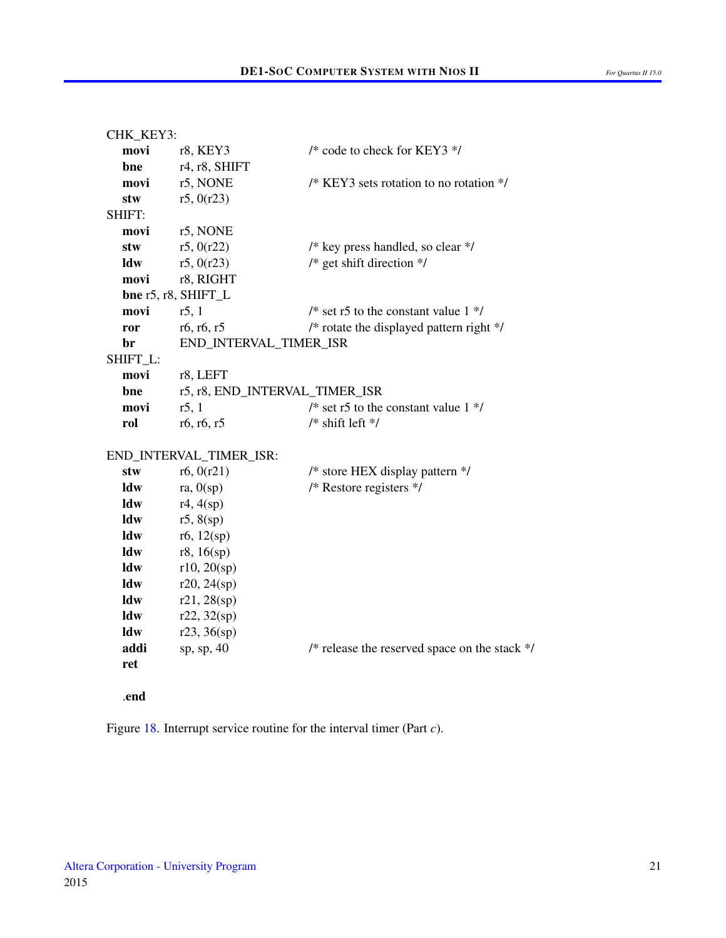```
CHK_KEY3:
  movi r8, KEY3 /* code to check for KEY3 */
  bne r4, r8, SHIFT
  movi r5, NONE /* KEY3 sets rotation to no rotation */
  stw r5, 0(r23)SHIFT:
  movi r5, NONE
  stw r5, 0(r22) /* key press handled, so clear */
  ldw r5, 0(r23) /* get shift direction */
  movi r8, RIGHT
  bne r5, r8, SHIFT_L
  movi r5, 1 \frac{1}{2} r5 to the constant value 1 \frac{1}{2}ror r6, r6, r5 /* rotate the displayed pattern right */
  br END_INTERVAL_TIMER_ISR
SHIFT_L:
  movi r8, LEFT
  bne r5, r8, END_INTERVAL_TIMER_ISR
  movi r5, 1 \frac{1}{2} \frac{1}{2} \frac{1}{2} \frac{1}{2} \frac{1}{2} \frac{1}{2} \frac{1}{2} \frac{1}{2} \frac{1}{2} \frac{1}{2} \frac{1}{2} \frac{1}{2} \frac{1}{2} \frac{1}{2} \frac{1}{2} \frac{1}{2} \frac{1}{2} \frac{1}{2} \frac{1}{2} \frac{1}{2} \frac{1}{2}rol r6, r6, r5 \frac{\pi}{3} /* shift left */
END_INTERVAL_TIMER_ISR:
  stw r6, 0(r21) /* store HEX display pattern */
  ldw ra, 0(sp) /* Restore registers */
  ldw r4, 4(sp)ldw r5, 8(sp)ldw r6, 12(sp)ldw r8, 16(sp)ldw r10, 20(sp)
  ldw r20, 24(sp)ldw r21, 28(sp)
  ldw r22, 32(sp)ldw r23, 36(sp)addi sp, sp, 40 \frac{1}{2} release the reserved space on the stack \frac{k}{2}ret
```
.end

Figure [18.](#page-18-0) Interrupt service routine for the interval timer (Part *c*).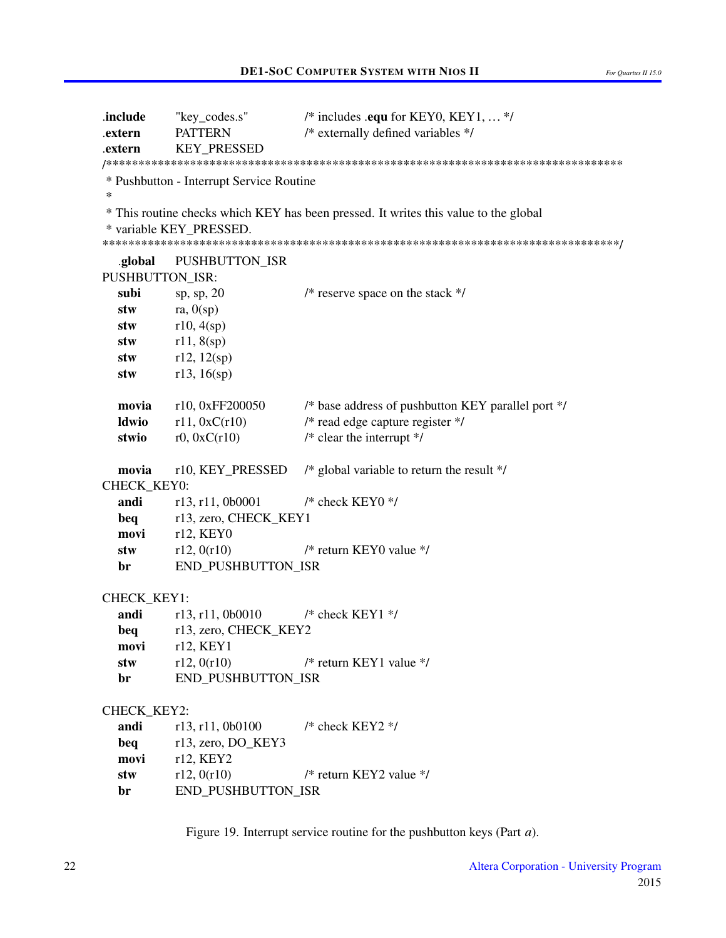```
.include
           "key_codes.s"
                              /* includes .equ for KEY0, KEY1, ... */
                              /* externally defined variables */
.extern
          PATTERN
.extern
          KEY PRESSED
* Pushbutton - Interrupt Service Routine
\ast* This routine checks which KEY has been pressed. It writes this value to the global
* variable KEY PRESSED.
.global
          PUSHBUTTON ISR
PUSHBUTTON ISR:
                              /* reserve space on the stack */subi
          sp, sp, 20stw
          ra, 0(sp)stw
          r10, 4(sp)stw
          r11, 8(sp)stw
          r12, 12(sp)r13, 16(sp)stw
                              /* base address of pushbutton KEY parallel port */
  movia
          r10, 0xFF200050
  ldwio
          r11, 0xC(r10)/* read edge capture register *//* clear the interrupt */stwio
          r0, 0xC(r10)movia
          r10, KEY PRESSED
                              /* global variable to return the result */CHECK KEY0:
  andi
          r13, r11, 0b0001
                              /* check KEY0 */
  bea
          r13, zero, CHECK KEY1
  movi
          r12, KEY0
  stw
          r12, 0(r10)/* return KEY0 value */
  br
          END_PUSHBUTTON_ISR
CHECK KEY1:
          r13, r11, 0b0010
                              /* check KEY1 */andi
  beq
          r13, zero, CHECK_KEY2
  movi
          r12, KEY1
  stw
          r12, 0(r10)/* return KEY1 value */br
          END_PUSHBUTTON_ISR
CHECK_KEY2:
  andi
          r13, r11, 0b0100
                              /* check KEY2 */beq
          r13, zero, DO_KEY3
  movi
          r12, KEY2
                              /* return KEY2 value */
  stw
          r12, 0(r10)END PUSHBUTTON ISR
  br
```
Figure 19. Interrupt service routine for the pushbutton keys (Part  $a$ ).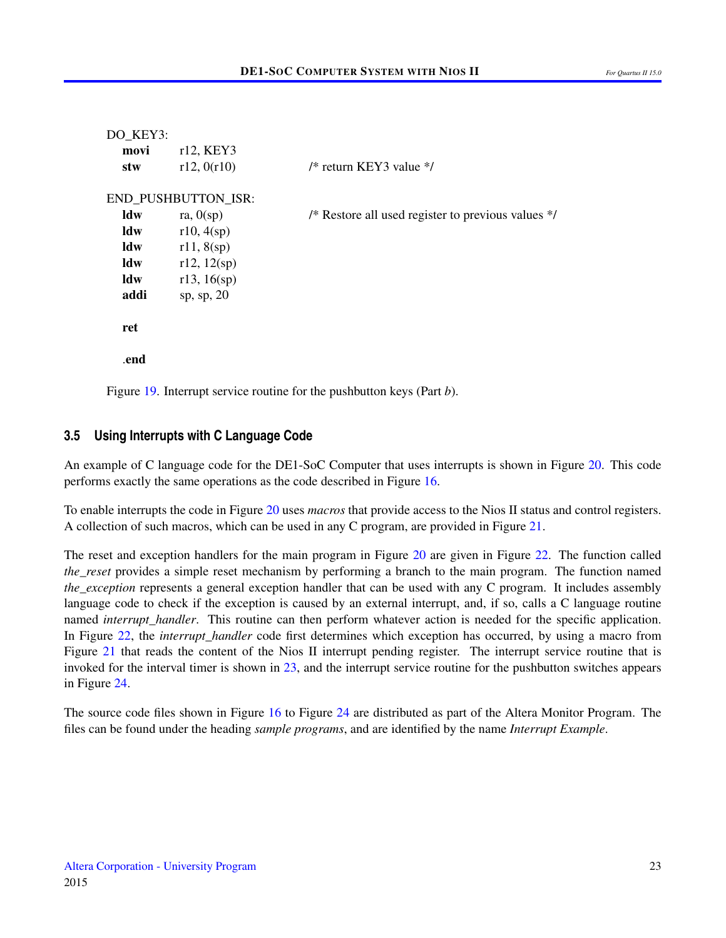```
DO_KEY3:
  movi r12, KEY3
  stw r12, 0(r10) /* return KEY3 value */
END_PUSHBUTTON_ISR:
  ldw ra, 0(sp) /* Restore all used register to previous values */
  \text{ldw} r10, 4(sp)
  ldw r11, 8(sp)\text{ldw} r12, 12(sp)
  ldw r13, 16(sp)
  addi sp, sp, 20
  ret
  .end
```
Figure [19.](#page-21-0) Interrupt service routine for the pushbutton keys (Part *b*).

#### **3.5 Using Interrupts with C Language Code**

An example of C language code for the DE1-SoC Computer that uses interrupts is shown in Figure [20.](#page-23-0) This code performs exactly the same operations as the code described in Figure [16.](#page-15-0)

To enable interrupts the code in Figure [20](#page-23-0) uses *macros* that provide access to the Nios II status and control registers. A collection of such macros, which can be used in any C program, are provided in Figure [21.](#page-24-0)

The reset and exception handlers for the main program in Figure [20](#page-23-0) are given in Figure [22.](#page-25-0) The function called *the reset* provides a simple reset mechanism by performing a branch to the main program. The function named *the exception* represents a general exception handler that can be used with any C program. It includes assembly language code to check if the exception is caused by an external interrupt, and, if so, calls a C language routine named *interrupt\_handler*. This routine can then perform whatever action is needed for the specific application. In Figure [22,](#page-25-0) the *interrupt handler* code first determines which exception has occurred, by using a macro from Figure [21](#page-24-0) that reads the content of the Nios II interrupt pending register. The interrupt service routine that is invoked for the interval timer is shown in [23,](#page-28-0) and the interrupt service routine for the pushbutton switches appears in Figure [24.](#page-29-0)

The source code files shown in Figure [16](#page-15-0) to Figure [24](#page-29-0) are distributed as part of the Altera Monitor Program. The files can be found under the heading *sample programs*, and are identified by the name *Interrupt Example*.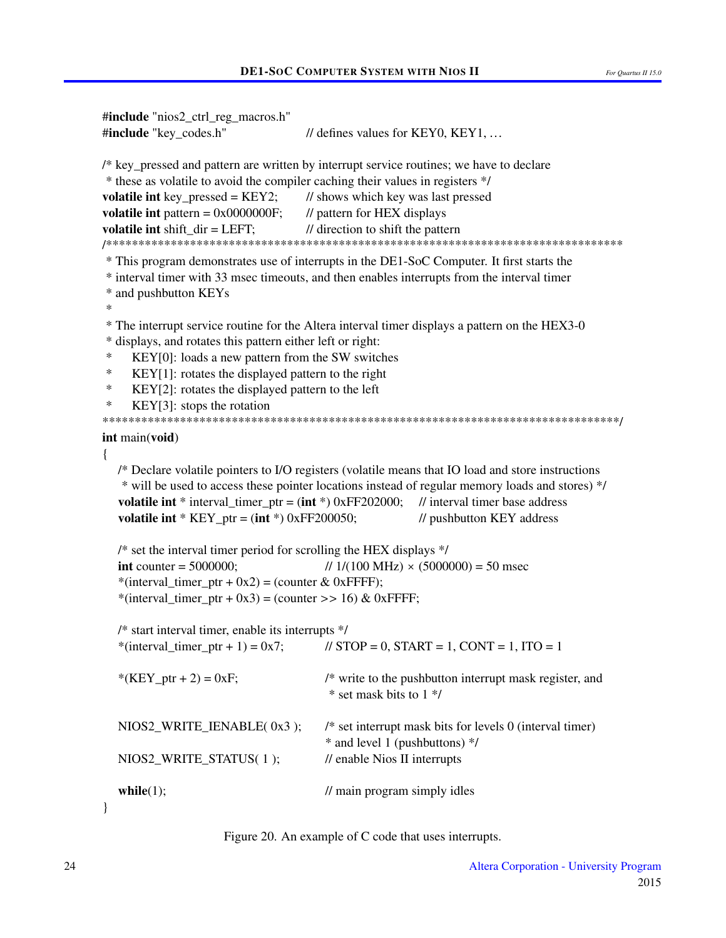```
#include "nios2_ctrl_reg_macros.h"
#include "key codes.h"
                                    \ell defines values for KEY0, KEY1, ...
/* key_pressed and pattern are written by interrupt service routines; we have to declare
* these as volatile to avoid the compiler caching their values in registers */
volatile int key_pressed = KEY2;
                                    // shows which key was last pressed
volatile int pattern = 0x0000000F;
                                    // pattern for HEX displays
volatile int shift dir = LEFT;
                                    // direction to shift the pattern
* This program demonstrates use of interrupts in the DE1-SoC Computer. It first starts the
* interval timer with 33 msec timeouts, and then enables interrupts from the interval timer
* and pushbutton KEYs
\ast* The interrupt service routine for the Altera interval timer displays a pattern on the HEX3-0
* displays, and rotates this pattern either left or right:
\astKEY[0]: loads a new pattern from the SW switches
\astKEY[1]: rotates the displayed pattern to the right
\astKEY[2]: rotates the displayed pattern to the left
     KEY[3]: stops the rotation
int main(void)
\{/* Declare volatile pointers to I/O registers (volatile means that IO load and store instructions
   * will be used to access these pointer locations instead of regular memory loads and stores) */
  volatile int * interval_timer_ptr = (int * ) 0xFF202000; // interval timer base address
  volatile int * KEY ptr = (int *) 0xFF200050;
                                                        // pushbutton KEY address
  /* set the interval timer period for scrolling the HEX displays */\text{int counter} = 5000000;
                                        1/(100 \text{ MHz}) \times (5000000) = 50 \text{ msec}*(interval timer ptr + 0x2) = (counter & 0xFFFF);
   *(interval timer ptr + 0x3) = (counter >> 16) & 0xFFFF;
  /* start interval timer, enable its interrupts */*(interval timer ptr + 1) = 0x7;
                                        \text{/} \text{/} STOP = 0, START = 1, CONT = 1, ITO = 1
                                        /* write to the pushbutton interrupt mask register, and
   *(KEY_ptr + 2) = 0xF;
                                         * set mask bits to 1 *//* set interrupt mask bits for levels 0 (interval timer)
  NIOS2 WRITE IENABLE(0x3);
                                        * and level 1 (pushbuttons) */
                                        // enable Nios II interrupts
  NIOS2 WRITE STATUS(1);
                                        \frac{1}{2} main program simply idles
  while(1);
ļ
```

| Figure 20. An example of C code that uses interrupts. |  |  |
|-------------------------------------------------------|--|--|
|                                                       |  |  |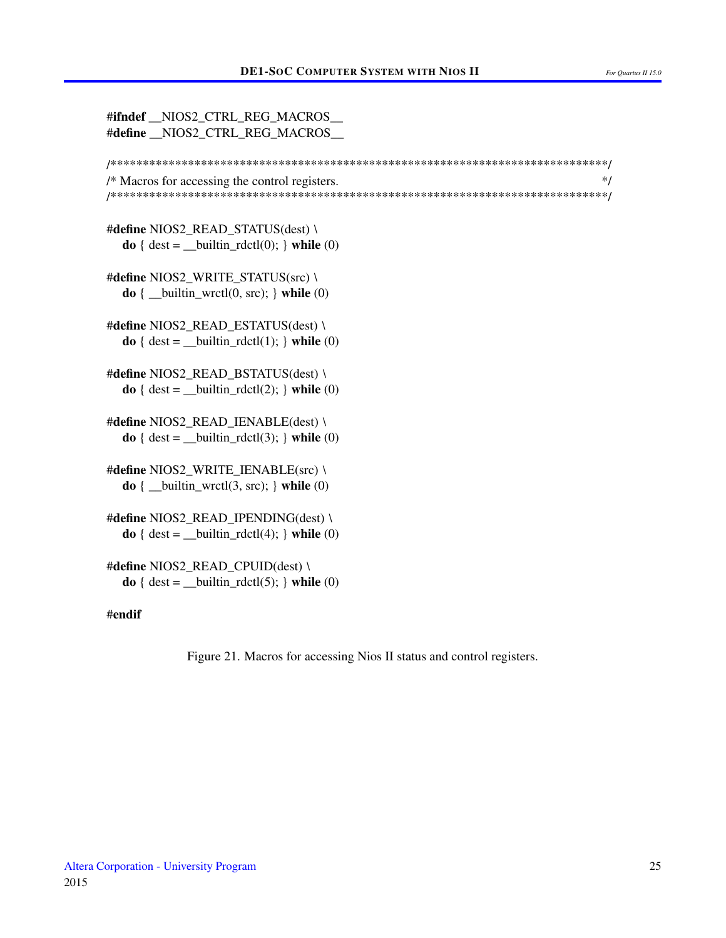<span id="page-24-0"></span>

| #ifndef _NIOS2_CTRL_REG_MACROS_<br>#define _NIOS2_CTRL_REG_MACROS_                                                                             |
|------------------------------------------------------------------------------------------------------------------------------------------------|
| /* Macros for accessing the control registers.<br>*/                                                                                           |
| #define NIOS2_READ_STATUS(dest) \<br>$\mathbf{do}$ { dest = __builtin_rdctl(0); } while (0)                                                    |
| #define NIOS2_WRITE_STATUS(src) \<br>$\mathbf{do}$ { __builtin_wrctl $(0, \text{src})$ ; } while $(0)$                                         |
| #define NIOS2_READ_ESTATUS(dest) \<br>$\mathbf{do} \{ \text{dest} = \_ \text{building} \cdot \text{rdctl}(1); \} \text{while } (0)$            |
| #define NIOS2_READ_BSTATUS(dest) \<br>$\mathbf{do}$ { dest = __builtin_rdctl(2); } while (0)                                                   |
| #define NIOS2_READ_IENABLE(dest) \<br>$\mathbf{do} \{ \text{dest} = \_ \text{builtin} \_ \text{rdctl}(3); \} \ \text{while} \ (0)$             |
| #define NIOS2_WRITE_IENABLE(src) \<br>$\mathbf{do}$ { __builtin_wrctl $(3, \text{src})$ ; } while $(0)$                                        |
| #define NIOS2_READ_IPENDING(dest) \<br>$\mathbf{do} \{ \text{dest} = \underline{\text{builtin}\_}r \cdot \text{dctl}(4); \} \text{while } (0)$ |
| #define NIOS2_READ_CPUID(dest) \<br>$\mathbf{do} \{ \text{dest} = \_ \text{builtin} \_ \text{rdctl}(5); \} \ \text{while} \ (0)$               |
| #endif                                                                                                                                         |

Figure 21. Macros for accessing Nios II status and control registers.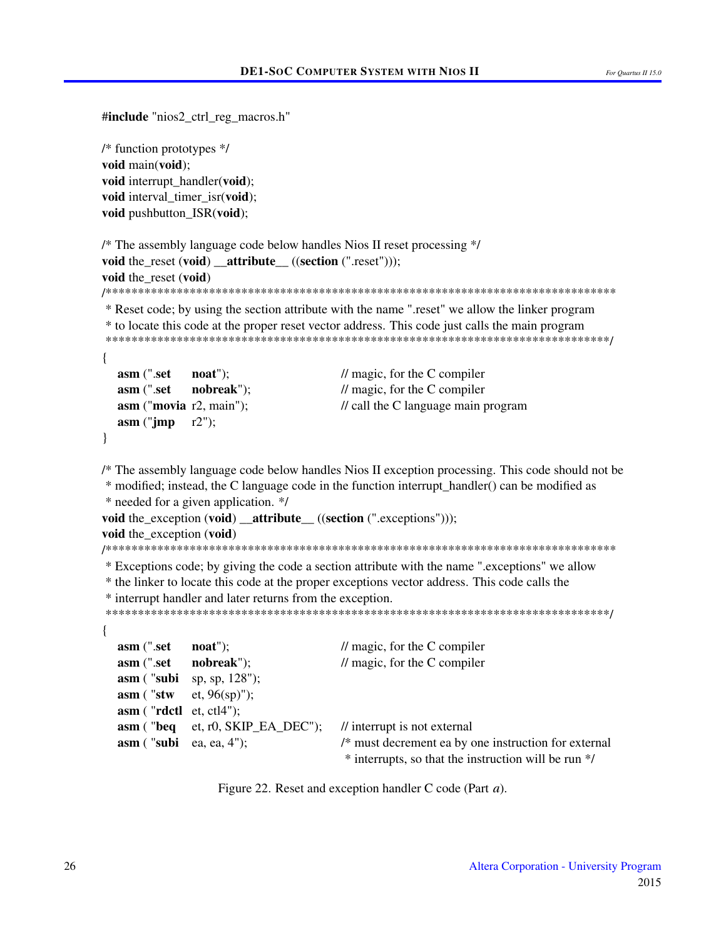```
#include "nios2_ctrl_reg_macros.h"
```
/\* function prototypes  $*/$ void main(void); void interrupt\_handler(void); void interval\_timer\_isr(void); void pushbutton\_ISR(void);

```
/* The assembly language code below handles Nios II reset processing */
void the reset (void) attribute ((section (".reset")));
void the reset (void)
* Reset code; by using the section attribute with the name "reset" we allow the linker program
* to locate this code at the proper reset vector address. This code just calls the main program
\{asm (".set
              \mathbf{noat}"):
                                      \frac{1}{\sqrt{2}} magic, for the C compiler
  asm (".set
              nobreak");
                                      \frac{1}{\sqrt{2}} magic, for the C compiler
  asm ("movia r2, main");
                                      \frac{1}{2} call the C language main program
  asm ("jmp
              r2"):
\mathcal{F}/* The assembly language code below handles Nios II exception processing. This code should not be
* modified; instead, the C language code in the function interrupt handler() can be modified as
* needed for a given application. */
void the exception (void) attribute ((section (".exceptions")));
void the exception (void)
* Exceptions code; by giving the code a section attribute with the name ".exceptions" we allow
* the linker to locate this code at the proper exceptions vector address. This code calls the
* interrupt handler and later returns from the exception.
\{asm (".set
              \mathbf{noat}");
                                      \frac{1}{\sqrt{2}} magic, for the C compiler
  asm (".set
              nobreak");
                                      \frac{1}{\sqrt{2}} magic, for the C compiler
  asm ("subi
              sp, sp, 128");
  asm ("stw
              et, 96(sp)");
  asm ("rdctl et, ctl4");
  asm ("beq
              et, r0, SKIP_EA_DEC");
                                      // interrupt is not external
  asm ("subi ea, ea, 4");
                                      /* must decrement ea by one instruction for external
                                       * interrupts, so that the instruction will be run */
```
Figure 22. Reset and exception handler C code (Part *a*).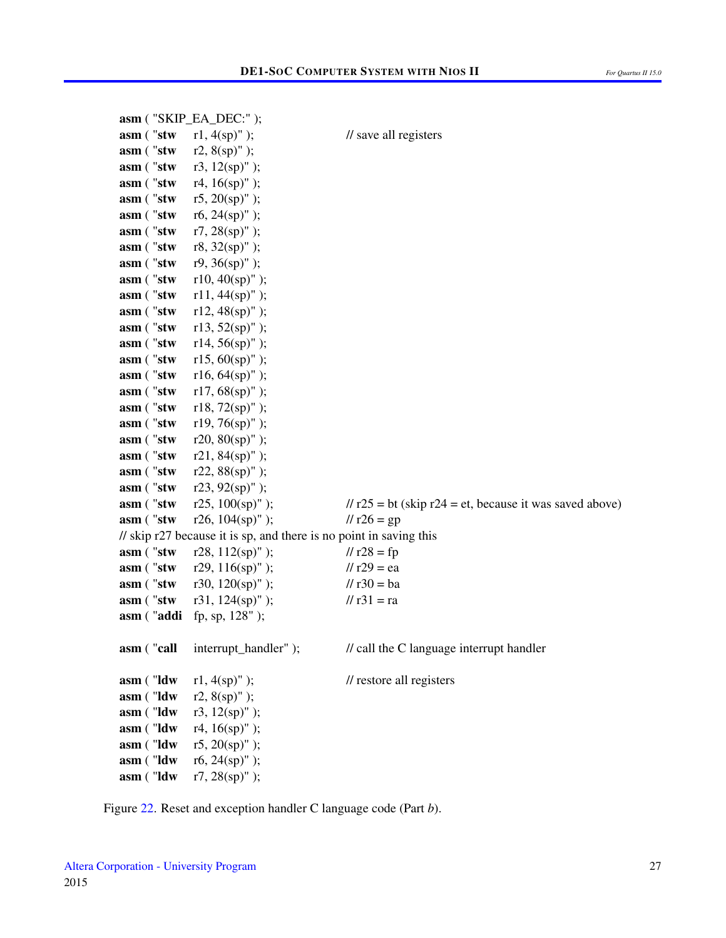|            | asm ("SKIP_EA_DEC:");                                              |                                                           |
|------------|--------------------------------------------------------------------|-----------------------------------------------------------|
| asm ("stw  | $r1, 4(sp)"$ );                                                    | // save all registers                                     |
| asm ("stw  | $r2, 8(sp)"$ );                                                    |                                                           |
| asm ("stw  | r3, $12(sp)"$ );                                                   |                                                           |
| asm ("stw  | r4, $16(sp)$ " );                                                  |                                                           |
| asm ("stw  | r5, $20(sp)$ " );                                                  |                                                           |
| asm ("stw  | r6, $24(sp)$ " );                                                  |                                                           |
| asm ("stw  | $r7, 28(sp)"$ );                                                   |                                                           |
| asm ("stw  | $r8, 32(sp)"$ );                                                   |                                                           |
| asm ("stw  | $r9, 36(sp)"$ );                                                   |                                                           |
| asm ("stw  | $r10, 40(sp)"$ );                                                  |                                                           |
| asm ("stw  | $r11, 44(sp)"$ );                                                  |                                                           |
| asm ("stw  | $r12, 48(sp)"$ );                                                  |                                                           |
| asm ("stw  | $r13, 52(sp)"$ );                                                  |                                                           |
| asm ("stw  | $r14, 56(sp)"$ ;                                                   |                                                           |
| asm ("stw  | $r15, 60(sp)"$ );                                                  |                                                           |
| asm ("stw  | $r16, 64(sp)"$ );                                                  |                                                           |
| asm ("stw  | $r17, 68(sp)"$ );                                                  |                                                           |
| asm ("stw  | $r18, 72(sp)"$ );                                                  |                                                           |
| asm ("stw  | $r19, 76(sp)"$ );                                                  |                                                           |
| asm ("stw  | $r20, 80(sp)"$ );                                                  |                                                           |
| asm ("stw  | $r21, 84(sp)"$ );                                                  |                                                           |
| asm ("stw  | r22, $88(sp)$ " );                                                 |                                                           |
| asm ("stw  | $r23, 92(sp)"$ );                                                  |                                                           |
| asm ("stw  | $r25, 100(sp)"$ );                                                 | $11$ r25 = bt (skip r24 = et, because it was saved above) |
| asm ("stw  | $r26$ , $104(sp)$ " );                                             | $11r26 = gp$                                              |
|            | // skip r27 because it is sp, and there is no point in saving this |                                                           |
| asm ("stw  | r28, $112(sp)"$ );                                                 | $11r28 = fp$                                              |
| asm ("stw  | r29, $116(sp)"$ );                                                 | $11$ r29 = ea                                             |
| asm ("stw  | r30, $120(sp)$ " );                                                | $11 r30 = ba$                                             |
| asm ("stw  | r31, $124(sp)$ " );                                                | // $r31 = ra$                                             |
| asm ("addi | fp, sp, 128" );                                                    |                                                           |
|            |                                                                    |                                                           |
| asm ("call | interrupt_handler");                                               | // call the C language interrupt handler                  |
| asm ("Idw  | $r1, 4(sp)"$ );                                                    | // restore all registers                                  |
| asm ("ldw  | $r2, 8(sp)"$ );                                                    |                                                           |
| asm ("Idw  | r3, $12(sp)$ " );                                                  |                                                           |
| asm ("Idw  | r4, $16(sp)$ " );                                                  |                                                           |
| asm ("Idw  | r5, $20(sp)$ " );                                                  |                                                           |
| asm ("Idw  | r6, $24(sp)$ " );                                                  |                                                           |
| asm ("ldw  | $r7, 28(sp)"$ );                                                   |                                                           |
|            |                                                                    |                                                           |

Figure [22.](#page-25-0) Reset and exception handler C language code (Part *b*).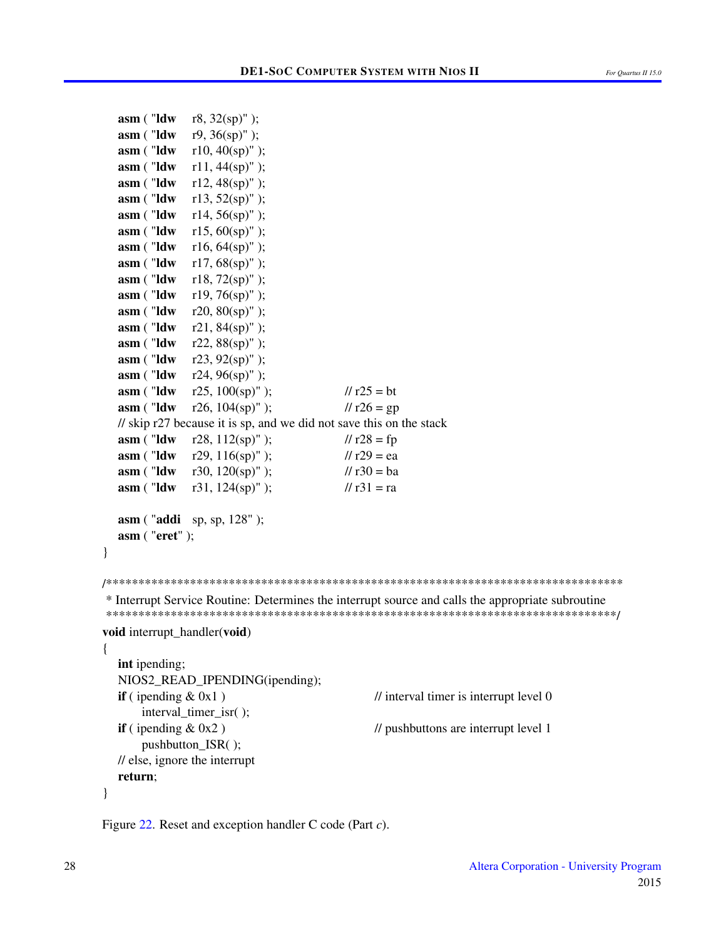```
asm ("ldw r8, 32(sp)" );
  asm ("ldw r9, 36(sp)" );
  asm ("ldw r10, 40(sp)");
  asm ("ldw r11, 44(sp)" );
  asm ("ldw r12, 48(sp)" );
  asm ("ldw r13, 52(sp)");
  asm ("ldw r14, 56(sp)");
  asm ("ldw r15, 60(sp)" );
  asm ("ldw r16, 64(sp)");
  asm ("ldw r17, 68(sp)");
  asm ("ldw r18, 72(sp)" );
  asm ("ldw r19, 76(sp)" );
   ("<b>ldw</b> r20, 80({\rm sp})");
  asm ("ldw r21, 84(sp)" );
  asm ("ldw r22, 88(sp)");
  \textbf{asm} ( "ldw r23, 92(sp)" );
  asm ("ldw r24, 96(sp)" );
  asm ( "ldw r25, 100(sp)" ); // r25 = bt
  asm ("ldw r26, 104(sp)" ); // r26 = gp
  // skip r27 because it is sp, and we did not save this on the stack
  asm ( "ldw r28, 112(sp)" ); \frac{1}{28} = fp
  asm ("ldw r29, 116(sp)" ); // r29 = ea
  asm ( "ldw r30, 120(sp)" ); // r30 = ba
  asm ("ldw r31, 124(sp)" ); // r31 = ra
  asm ( "addi sp, sp, 128" );
  asm ( "eret" );
}
/********************************************************************************
* Interrupt Service Routine: Determines the interrupt source and calls the appropriate subroutine
*******************************************************************************/
void interrupt_handler(void)
{
  int ipending;
  NIOS2_READ_IPENDING(ipending);
  if ( ipending \& 0x1 ) // interval timer is interrupt level 0
      interval_timer_isr( );
  if (ipending & 0x2) // pushbuttons are interrupt level 1
      pushbutton ISR( );
  // else, ignore the interrupt
  return;
}
```
Figure [22.](#page-25-0) Reset and exception handler C code (Part *c*).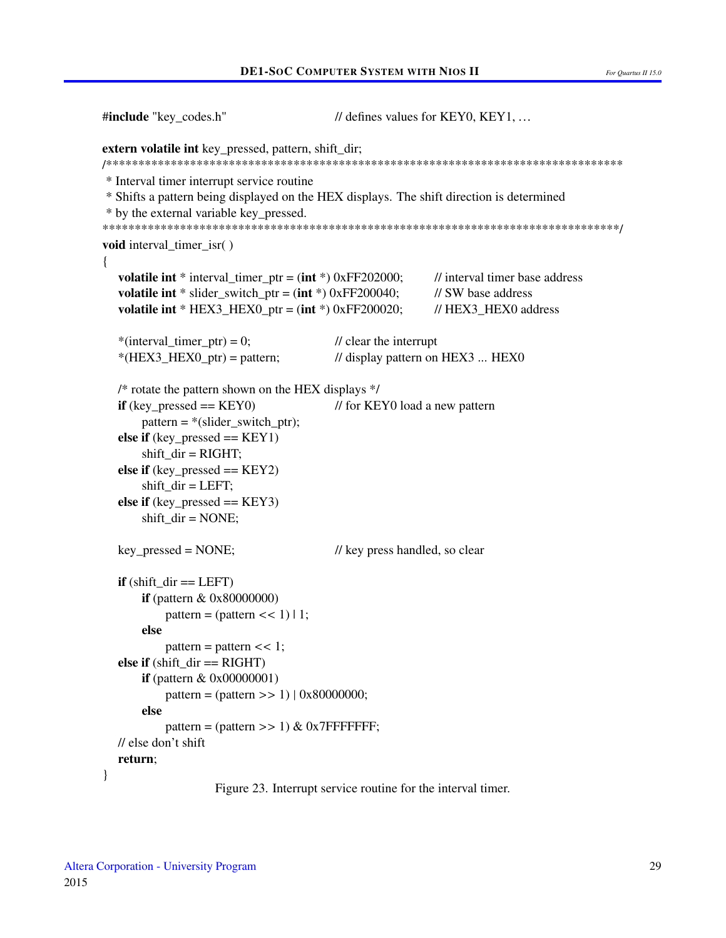```
#include "key_codes.h"
                                        // defines values for KEY0, KEY1, ...
extern volatile int key_pressed, pattern, shift_dir;
* Interval timer interrupt service routine
* Shifts a pattern being displayed on the HEX displays. The shift direction is determined
* by the external variable key_pressed.
void interval_timer_isr()
\left\{ \right.// interval timer base address
  volatile int * interval timer ptr = (int *) 0xFF202000;
  volatile int * slider_switch_ptr = (int * ) 0xFF200040;// SW base address
  volatile int * HEX3_HEX0_ptr = (int *) 0xFF200020;// HEX3 HEX0 address
  *(interval_timer_ptr) = 0;
                                        \frac{1}{2} clear the interrupt
  *(HEX3_HEX0_ptr) = pattern;
                                        // display pattern on HEX3 ... HEX0
  /* rotate the pattern shown on the HEX displays */if (key pressed == KEY0)
                                        // for KEY0 load a new pattern
      pattern = * (silder_switch_ptr);else if (key_{\text{}pressed == KEY1})shift\_dir = RIGHT;else if (key pressed == KEY2)
      shift\_dir = LEFT;else if (key_{\text{}pressed == KEY3})shift dir = <b>NOTE</b>;key pressed = NONE;
                                        // key press handled, so clear
  if (shift dir == LEFT)
      if (pattern \& 0x80000000)
          pattern = (\text{pattern} << 1)| 1;
      else
          pattern = pattern \lt\lt 1;
  else if (\text{shift\_dir} == \text{RIGHT})if (pattern \& 0x00000001)
          pattern = (pattern >> 1) | 0x80000000;else
          pattern = (\text{pattern} >> 1) \& 0x7FFFFFFF;
  // else don't shift
  return:
∤
```
Figure 23. Interrupt service routine for the interval timer.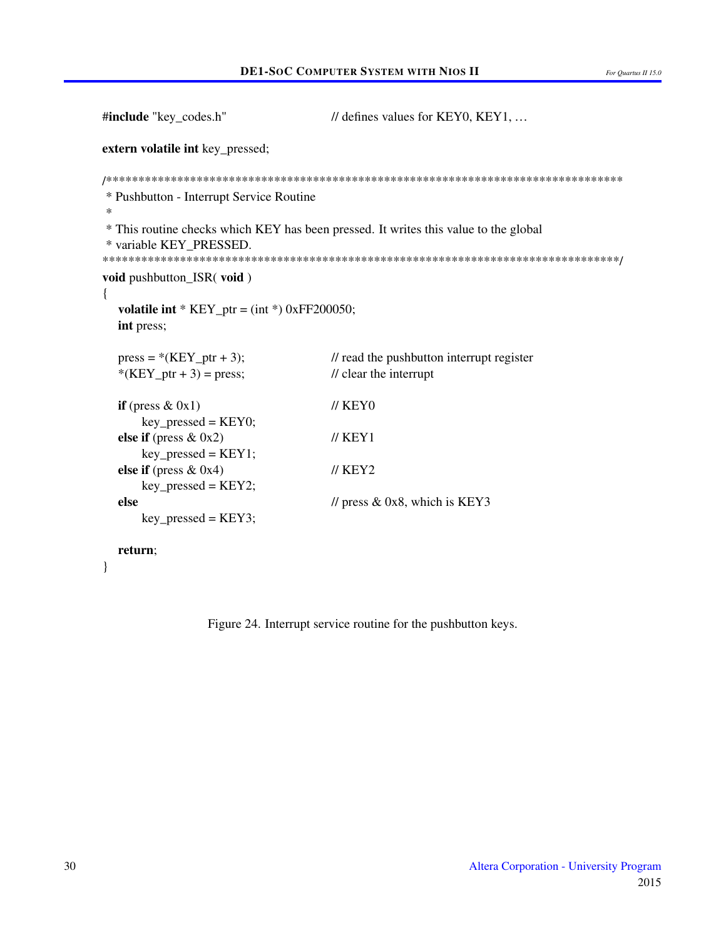```
#include "key_codes.h"
                                      // defines values for KEY0, KEY1, ...
extern volatile int key_pressed;
* Pushbutton - Interrupt Service Routine
\ast* This routine checks which KEY has been pressed. It writes this value to the global
* variable KEY_PRESSED.
void pushbutton_ISR(void)
\{volatile int * KEY_ptr = (int * ) 0xFF200050;int press;
  press = *(KEY\_ptr + 3);\frac{1}{\sqrt{2}} read the pushbutton interrupt register
  *(KEY_ptr + 3) = press;
                                      \prime\prime clear the interrupt
                                      \textit{//} KEY<sub>0</sub>
  if (press & 0x1)key\_pressed = KEY0;else if (press & 0x2)\frac{\textit{I}}{\textit{K}} KEY1
      key\_pressed = KEY1;\frac{\textit{1}}{\textit{1}} KEY2
  else if (press & 0x4)key\_pressed = KEY2;else
                                      // press & 0x8, which is KEY3
      key_{\text{pressed}} = KEY3;
```
#### return;

 $\mathcal{E}$ 

Figure 24. Interrupt service routine for the pushbutton keys.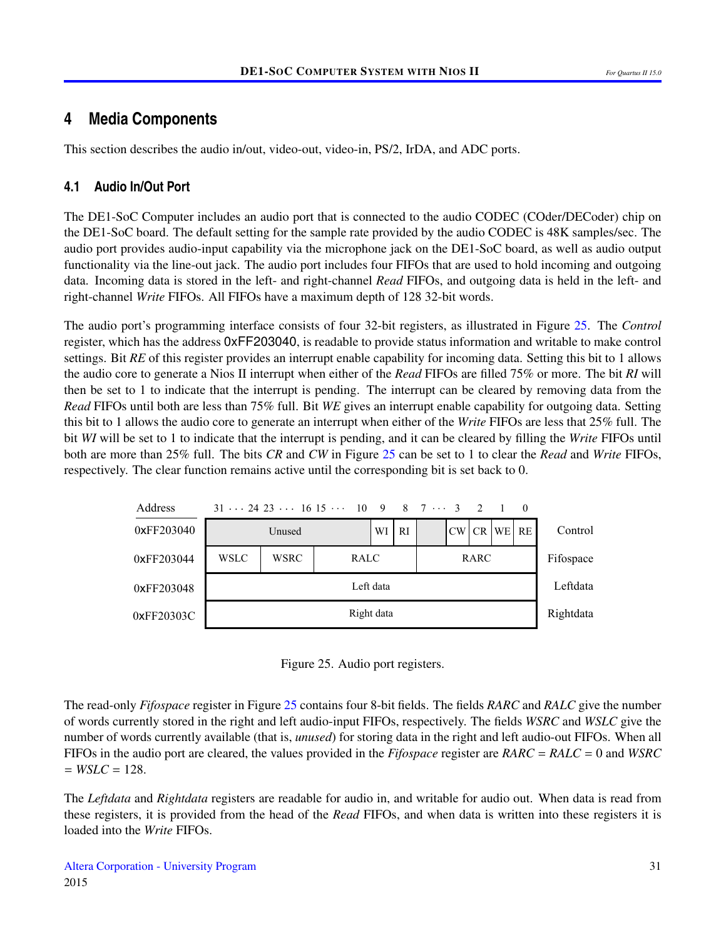## <span id="page-30-0"></span>**4 Media Components**

This section describes the audio in/out, video-out, video-in, PS/2, IrDA, and ADC ports.

## **4.1 Audio In/Out Port**

The DE1-SoC Computer includes an audio port that is connected to the audio CODEC (COder/DECoder) chip on the DE1-SoC board. The default setting for the sample rate provided by the audio CODEC is 48K samples/sec. The audio port provides audio-input capability via the microphone jack on the DE1-SoC board, as well as audio output functionality via the line-out jack. The audio port includes four FIFOs that are used to hold incoming and outgoing data. Incoming data is stored in the left- and right-channel *Read* FIFOs, and outgoing data is held in the left- and right-channel *Write* FIFOs. All FIFOs have a maximum depth of 128 32-bit words.

The audio port's programming interface consists of four 32-bit registers, as illustrated in Figure [25.](#page-30-1) The *Control* register, which has the address 0xFF203040, is readable to provide status information and writable to make control settings. Bit *RE* of this register provides an interrupt enable capability for incoming data. Setting this bit to 1 allows the audio core to generate a Nios II interrupt when either of the *Read* FIFOs are filled 75% or more. The bit *RI* will then be set to 1 to indicate that the interrupt is pending. The interrupt can be cleared by removing data from the *Read* FIFOs until both are less than 75% full. Bit *WE* gives an interrupt enable capability for outgoing data. Setting this bit to 1 allows the audio core to generate an interrupt when either of the *Write* FIFOs are less that 25% full. The bit *WI* will be set to 1 to indicate that the interrupt is pending, and it can be cleared by filling the *Write* FIFOs until both are more than 25% full. The bits *CR* and *CW* in Figure [25](#page-30-1) can be set to 1 to clear the *Read* and *Write* FIFOs, respectively. The clear function remains active until the corresponding bit is set back to 0.

<span id="page-30-1"></span>

Figure 25. Audio port registers.

The read-only *Fifospace* register in Figure [25](#page-30-1) contains four 8-bit fields. The fields *RARC* and *RALC* give the number of words currently stored in the right and left audio-input FIFOs, respectively. The fields *WSRC* and *WSLC* give the number of words currently available (that is, *unused*) for storing data in the right and left audio-out FIFOs. When all FIFOs in the audio port are cleared, the values provided in the *Fifospace* register are *RARC* = *RALC* = 0 and *WSRC*  $= WSLC = 128.$ 

The *Leftdata* and *Rightdata* registers are readable for audio in, and writable for audio out. When data is read from these registers, it is provided from the head of the *Read* FIFOs, and when data is written into these registers it is loaded into the *Write* FIFOs.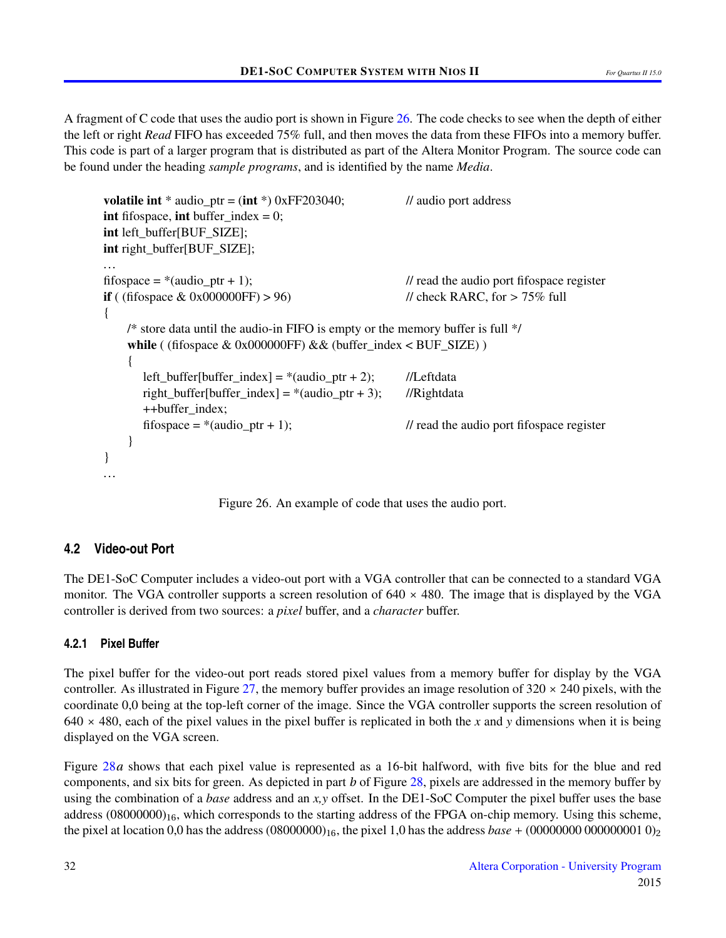A fragment of C code that uses the audio port is shown in Figure [26.](#page-31-1) The code checks to see when the depth of either the left or right *Read* FIFO has exceeded 75% full, and then moves the data from these FIFOs into a memory buffer. This code is part of a larger program that is distributed as part of the Altera Monitor Program. The source code can be found under the heading *sample programs*, and is identified by the name *Media*.

```
volatile int * audio ptr = (int * ) 0xFF203040; // audio port address
int fifospace, int buffer index = 0;
int left_buffer[BUF_SIZE];
int right_buffer[BUF_SIZE];
...
fifospace = *(\text{audio\_ptr} + 1); // read the audio port fifospace register
if ( (fifospace \& 0x000000FF) > 96) // check RARC, for > 75\% full
{
    /* store data until the audio-in FIFO is empty or the memory buffer is full */
    while ( (fifospace & 0x000000FF) & 0x00000FF (buffer_index < BUF_SIZE) )
    {
       left_buffer[buffer_index] = *(audio\_ptr + 2); //Leftdata
       right_buffer[buffer_index] = *(audio\_ptr + 3); //Rightdata
       ++buffer index;
       fifospace = *(\text{audio\_ptr} + 1); // read the audio port fifospace register
    }
}
...
```
Figure 26. An example of code that uses the audio port.

## <span id="page-31-0"></span>**4.2 Video-out Port**

The DE1-SoC Computer includes a video-out port with a VGA controller that can be connected to a standard VGA monitor. The VGA controller supports a screen resolution of  $640 \times 480$ . The image that is displayed by the VGA controller is derived from two sources: a *pixel* buffer, and a *character* buffer.

## <span id="page-31-2"></span>**4.2.1 Pixel Buffer**

The pixel buffer for the video-out port reads stored pixel values from a memory buffer for display by the VGA controller. As illustrated in Figure [27,](#page-32-0) the memory buffer provides an image resolution of  $320 \times 240$  pixels, with the coordinate 0,0 being at the top-left corner of the image. Since the VGA controller supports the screen resolution of  $640 \times 480$ , each of the pixel values in the pixel buffer is replicated in both the *x* and *y* dimensions when it is being displayed on the VGA screen.

Figure [28](#page-32-1)*a* shows that each pixel value is represented as a 16-bit halfword, with five bits for the blue and red components, and six bits for green. As depicted in part *b* of Figure [28,](#page-32-1) pixels are addressed in the memory buffer by using the combination of a *base* address and an *x,y* offset. In the DE1-SoC Computer the pixel buffer uses the base address  $(08000000)_{16}$ , which corresponds to the starting address of the FPGA on-chip memory. Using this scheme, the pixel at location 0,0 has the address (08000000)16, the pixel 1,0 has the address *base* + (00000000 000000001 0)<sup>2</sup>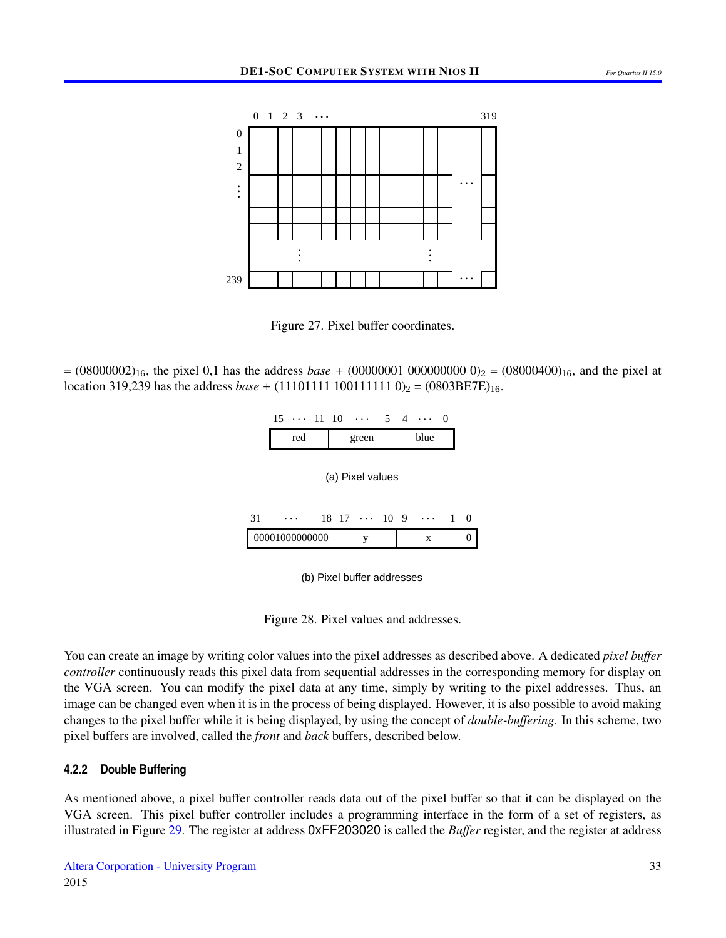<span id="page-32-0"></span>

Figure 27. Pixel buffer coordinates.

<span id="page-32-1"></span> $= (08000002)_{16}$ , the pixel 0,1 has the address *base* + (00000001 000000000 0)<sub>2</sub> = (08000400)<sub>16</sub>, and the pixel at location 319,239 has the address *base* + (11101111 100111111 0)<sub>2</sub> = (0803BE7E)<sub>16</sub>.

| 15 | $\cdots$ 11 | 10 | $\cdots$ |  | $\cdots$ |  |
|----|-------------|----|----------|--|----------|--|
|    | ٠ρ          |    | oreen    |  | shie.    |  |

(a) Pixel values

 $31 \quad \cdots \quad 18 \quad 17 \quad \cdots \quad 10 \quad 9 \quad \cdots \quad 1$ 00001000000000 y x 0  $\theta$ 

(b) Pixel buffer addresses

Figure 28. Pixel values and addresses.

You can create an image by writing color values into the pixel addresses as described above. A dedicated *pixel buffer controller* continuously reads this pixel data from sequential addresses in the corresponding memory for display on the VGA screen. You can modify the pixel data at any time, simply by writing to the pixel addresses. Thus, an image can be changed even when it is in the process of being displayed. However, it is also possible to avoid making changes to the pixel buffer while it is being displayed, by using the concept of *double-buffering*. In this scheme, two pixel buffers are involved, called the *front* and *back* buffers, described below.

#### **4.2.2 Double Buffering**

As mentioned above, a pixel buffer controller reads data out of the pixel buffer so that it can be displayed on the VGA screen. This pixel buffer controller includes a programming interface in the form of a set of registers, as illustrated in Figure [29.](#page-33-0) The register at address 0xFF203020 is called the *Buffer* register, and the register at address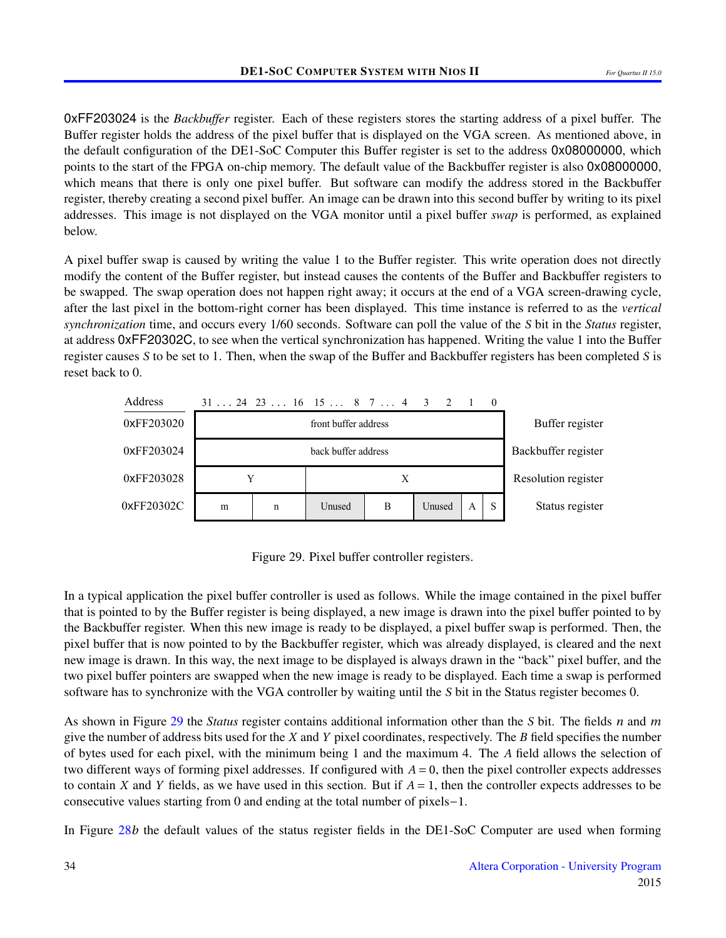0xFF203024 is the *Backbuffer* register. Each of these registers stores the starting address of a pixel buffer. The Buffer register holds the address of the pixel buffer that is displayed on the VGA screen. As mentioned above, in the default configuration of the DE1-SoC Computer this Buffer register is set to the address 0x08000000, which points to the start of the FPGA on-chip memory. The default value of the Backbuffer register is also 0x08000000, which means that there is only one pixel buffer. But software can modify the address stored in the Backbuffer register, thereby creating a second pixel buffer. An image can be drawn into this second buffer by writing to its pixel addresses. This image is not displayed on the VGA monitor until a pixel buffer *swap* is performed, as explained below.

A pixel buffer swap is caused by writing the value 1 to the Buffer register. This write operation does not directly modify the content of the Buffer register, but instead causes the contents of the Buffer and Backbuffer registers to be swapped. The swap operation does not happen right away; it occurs at the end of a VGA screen-drawing cycle, after the last pixel in the bottom-right corner has been displayed. This time instance is referred to as the *vertical synchronization* time, and occurs every 1/60 seconds. Software can poll the value of the *S* bit in the *Status* register, at address 0xFF20302C, to see when the vertical synchronization has happened. Writing the value 1 into the Buffer register causes *S* to be set to 1. Then, when the swap of the Buffer and Backbuffer registers has been completed *S* is reset back to 0.

<span id="page-33-0"></span>

Figure 29. Pixel buffer controller registers.

In a typical application the pixel buffer controller is used as follows. While the image contained in the pixel buffer that is pointed to by the Buffer register is being displayed, a new image is drawn into the pixel buffer pointed to by the Backbuffer register. When this new image is ready to be displayed, a pixel buffer swap is performed. Then, the pixel buffer that is now pointed to by the Backbuffer register, which was already displayed, is cleared and the next new image is drawn. In this way, the next image to be displayed is always drawn in the "back" pixel buffer, and the two pixel buffer pointers are swapped when the new image is ready to be displayed. Each time a swap is performed software has to synchronize with the VGA controller by waiting until the *S* bit in the Status register becomes 0.

As shown in Figure [29](#page-33-0) the *Status* register contains additional information other than the *S* bit. The fields *n* and *m* give the number of address bits used for the *X* and *Y* pixel coordinates, respectively. The *B* field specifies the number of bytes used for each pixel, with the minimum being 1 and the maximum 4. The *A* field allows the selection of two different ways of forming pixel addresses. If configured with  $A = 0$ , then the pixel controller expects addresses to contain *X* and *Y* fields, as we have used in this section. But if  $A = 1$ , then the controller expects addresses to be consecutive values starting from 0 and ending at the total number of pixels−1.

In Figure [28](#page-32-1)*b* the default values of the status register fields in the DE1-SoC Computer are used when forming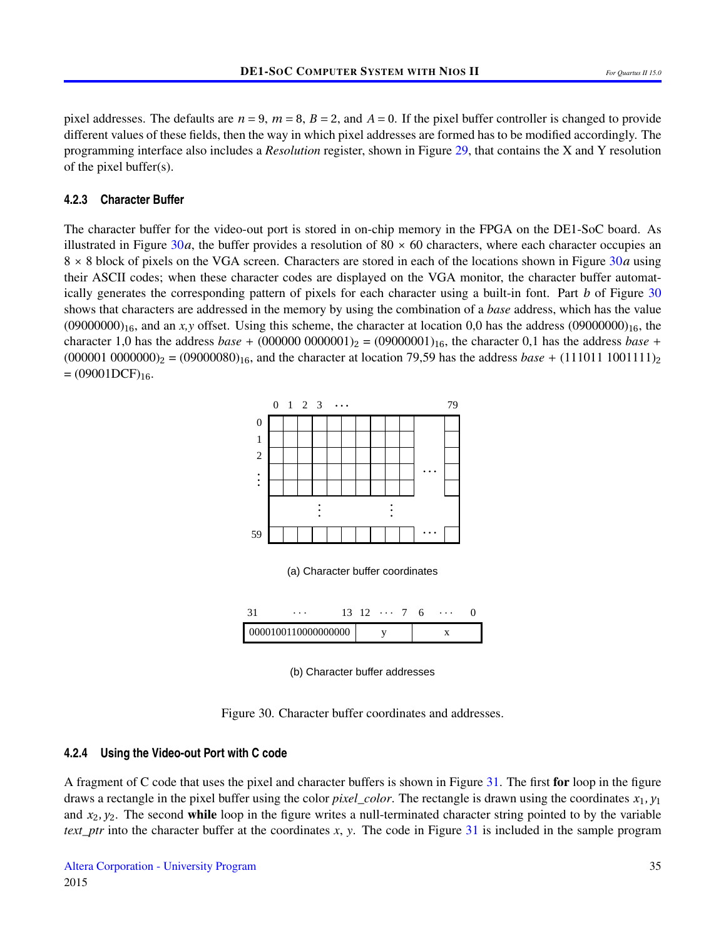pixel addresses. The defaults are  $n = 9$ ,  $m = 8$ ,  $B = 2$ , and  $A = 0$ . If the pixel buffer controller is changed to provide different values of these fields, then the way in which pixel addresses are formed has to be modified accordingly. The programming interface also includes a *Resolution* register, shown in Figure [29,](#page-33-0) that contains the X and Y resolution of the pixel buffer(s).

#### **4.2.3 Character Buffer**

<span id="page-34-0"></span>The character buffer for the video-out port is stored in on-chip memory in the FPGA on the DE1-SoC board. As illustrated in Figure [30](#page-34-0)*a*, the buffer provides a resolution of 80  $\times$  60 characters, where each character occupies an 8 × 8 block of pixels on the VGA screen. Characters are stored in each of the locations shown in Figure [30](#page-34-0)*a* using their ASCII codes; when these character codes are displayed on the VGA monitor, the character buffer automatically generates the corresponding pattern of pixels for each character using a built-in font. Part *b* of Figure [30](#page-34-0) shows that characters are addressed in the memory by using the combination of a *base* address, which has the value  $(0900000)_{16}$ , and an *x*, *y* offset. Using this scheme, the character at location 0,0 has the address  $(09000000)_{16}$ , the character 1,0 has the address *base* +  $(000000000001)_2 = (09000001)_{16}$ , the character 0,1 has the address *base* +  $(000001\ 0000000)_2 = (09000080)_{16}$ , and the character at location 79,59 has the address *base* + (111011 1001111)<sub>2</sub>  $=(09001DCF)_{16}.$ 



(b) Character buffer addresses

Figure 30. Character buffer coordinates and addresses.

#### **4.2.4 Using the Video-out Port with C code**

A fragment of C code that uses the pixel and character buffers is shown in Figure [31.](#page-35-0) The first for loop in the figure draws a rectangle in the pixel buffer using the color *pixel\_color*. The rectangle is drawn using the coordinates *x*1, *y*<sup>1</sup> and  $x_2, y_2$ . The second while loop in the figure writes a null-terminated character string pointed to by the variable *text\_ptr* into the character buffer at the coordinates *x*, *y*. The code in Figure [31](#page-35-0) is included in the sample program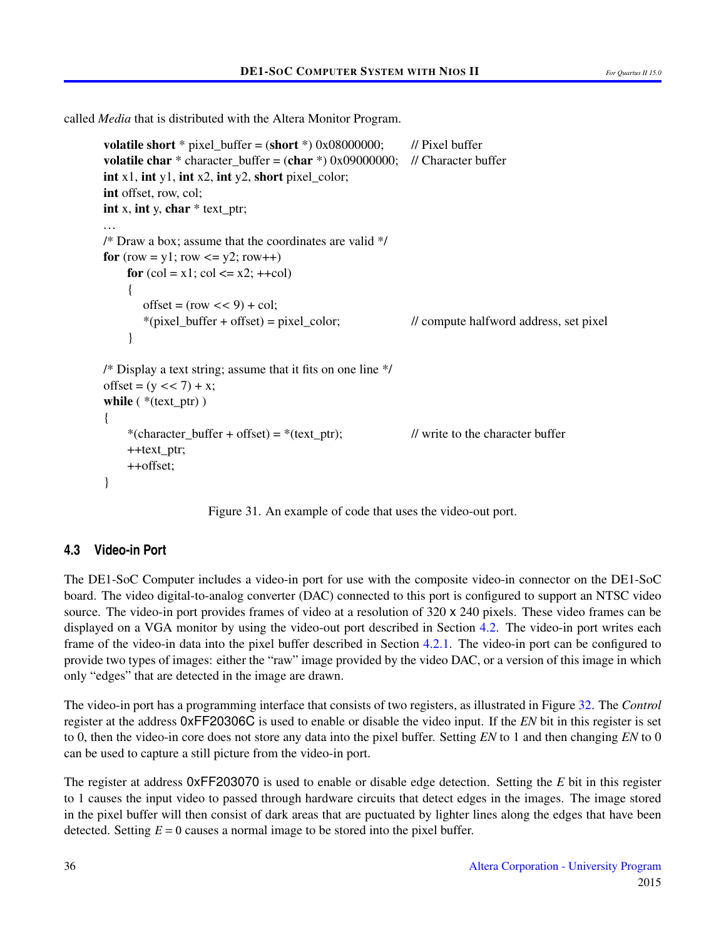<span id="page-35-0"></span>called *Media* that is distributed with the Altera Monitor Program.

```
volatile short * pixel_buffer = (short *) 0x08000000; // Pixel buffer
volatile char * character_buffer = (char *) 0x09000000; // Character buffer
int x1, int y1, int x2, int y2, short pixel color;
int offset, row, col;
int x, int y, char * text ptr;
...
/* Draw a box; assume that the coordinates are valid */
for (row = y1; row \le y2; row++)
    for \text{(col} = x1; \text{col} \leq x2; +\text{col}){
        offset = (\text{row} << 9) + \text{col};
        *(pixel_buffer + offset) = pixel_color; \frac{1}{2} // compute halfword address, set pixel
     }
/* Display a text string; assume that it fits on one line */
offset = (y \ll 7) + x;
while ( *(text\_ptr) )
{
     *(character buffer + offset) = *(text ptr); // write to the character buffer
    ++text_ptr;
    ++offset;
}
```
Figure 31. An example of code that uses the video-out port.

## **4.3 Video-in Port**

The DE1-SoC Computer includes a video-in port for use with the composite video-in connector on the DE1-SoC board. The video digital-to-analog converter (DAC) connected to this port is configured to support an NTSC video source. The video-in port provides frames of video at a resolution of 320 x 240 pixels. These video frames can be displayed on a VGA monitor by using the video-out port described in Section [4.2.](#page-31-0) The video-in port writes each frame of the video-in data into the pixel buffer described in Section [4.2.1.](#page-31-2) The video-in port can be configured to provide two types of images: either the "raw" image provided by the video DAC, or a version of this image in which only "edges" that are detected in the image are drawn.

The video-in port has a programming interface that consists of two registers, as illustrated in Figure [32.](#page-36-0) The *Control* register at the address 0xFF20306C is used to enable or disable the video input. If the *EN* bit in this register is set to 0, then the video-in core does not store any data into the pixel buffer. Setting *EN* to 1 and then changing *EN* to 0 can be used to capture a still picture from the video-in port.

The register at address 0xFF203070 is used to enable or disable edge detection. Setting the *E* bit in this register to 1 causes the input video to passed through hardware circuits that detect edges in the images. The image stored in the pixel buffer will then consist of dark areas that are puctuated by lighter lines along the edges that have been detected. Setting  $E = 0$  causes a normal image to be stored into the pixel buffer.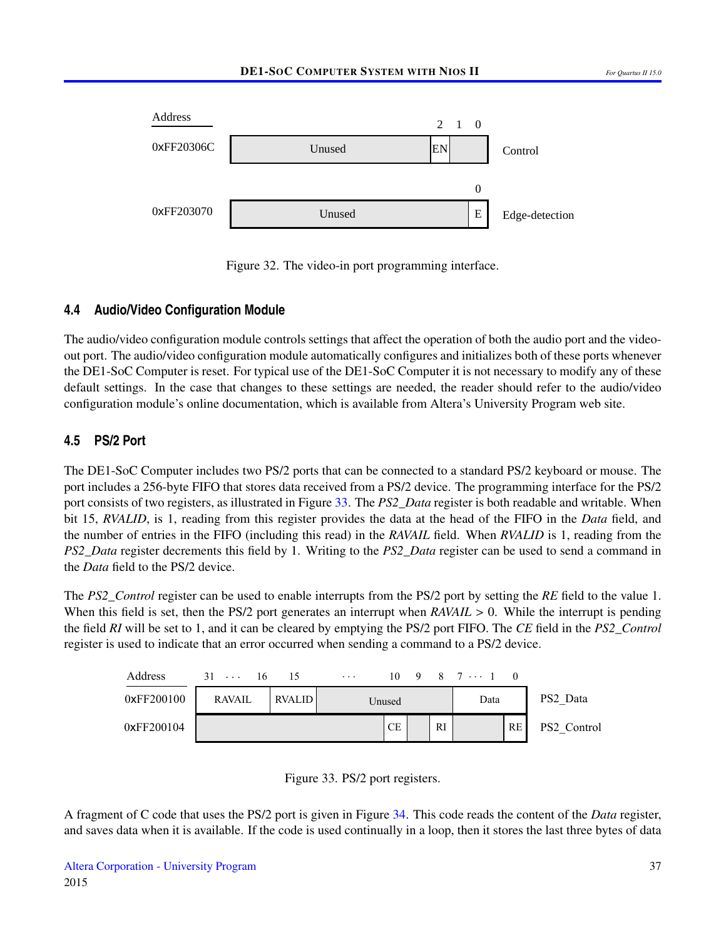<span id="page-36-0"></span>

Figure 32. The video-in port programming interface.

## **4.4 Audio/Video Configuration Module**

The audio/video configuration module controls settings that affect the operation of both the audio port and the videoout port. The audio/video configuration module automatically configures and initializes both of these ports whenever the DE1-SoC Computer is reset. For typical use of the DE1-SoC Computer it is not necessary to modify any of these default settings. In the case that changes to these settings are needed, the reader should refer to the audio/video configuration module's online documentation, which is available from Altera's University Program web site.

## **4.5 PS/2 Port**

The DE1-SoC Computer includes two PS/2 ports that can be connected to a standard PS/2 keyboard or mouse. The port includes a 256-byte FIFO that stores data received from a PS/2 device. The programming interface for the PS/2 port consists of two registers, as illustrated in Figure [33.](#page-36-1) The *PS2\_Data* register is both readable and writable. When bit 15, *RVALID*, is 1, reading from this register provides the data at the head of the FIFO in the *Data* field, and the number of entries in the FIFO (including this read) in the *RAVAIL* field. When *RVALID* is 1, reading from the *PS2\_Data* register decrements this field by 1. Writing to the *PS2\_Data* register can be used to send a command in the *Data* field to the PS/2 device.

The *PS2\_Control* register can be used to enable interrupts from the PS/2 port by setting the *RE* field to the value 1. When this field is set, then the PS/2 port generates an interrupt when *RAVAIL* > 0. While the interrupt is pending the field *RI* will be set to 1, and it can be cleared by emptying the PS/2 port FIFO. The *CE* field in the *PS2\_Control* register is used to indicate that an error occurred when sending a command to a PS/2 device.

<span id="page-36-1"></span>



A fragment of C code that uses the PS/2 port is given in Figure [34.](#page-37-0) This code reads the content of the *Data* register, and saves data when it is available. If the code is used continually in a loop, then it stores the last three bytes of data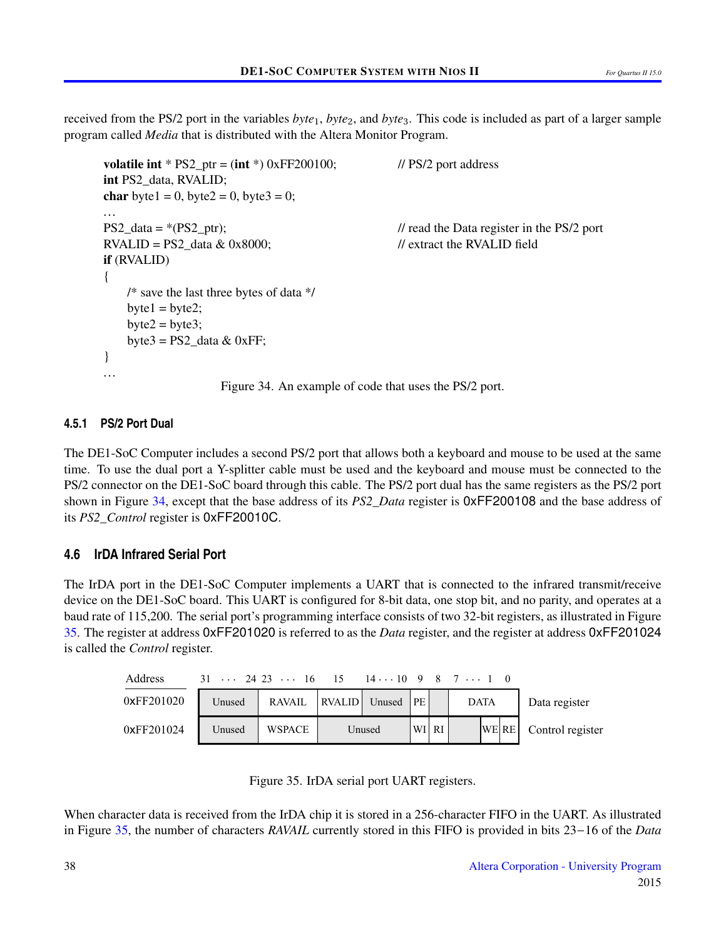<span id="page-37-0"></span>received from the PS/2 port in the variables *byte*1, *byte*2, and *byte*3. This code is included as part of a larger sample program called *Media* that is distributed with the Altera Monitor Program.

```
volatile int * PS2 ptr = (int * ) 0xFF200100; // PS/2 port address
int PS2_data, RVALID;
char byte1 = 0, byte2 = 0, byte3 = 0;
...
PS2_data = *(PS2_ptr); // read the Data register in the PS/2 port
RVALID = PS2_data & 0x8000; // extract the RVALID field
if (RVALID)
{
   /* save the last three bytes of data */
   byte1 = byte2;
   byte2 = byte3;
   byte3 = PS2 data & 0xFF;
}
...
                   Figure 34. An example of code that uses the PS/2 port.
```
#### **4.5.1 PS/2 Port Dual**

The DE1-SoC Computer includes a second PS/2 port that allows both a keyboard and mouse to be used at the same time. To use the dual port a Y-splitter cable must be used and the keyboard and mouse must be connected to the PS/2 connector on the DE1-SoC board through this cable. The PS/2 port dual has the same registers as the PS/2 port shown in Figure [34,](#page-37-0) except that the base address of its *PS2\_Data* register is 0xFF200108 and the base address of its *PS2\_Control* register is 0xFF20010C.

#### **4.6 IrDA Infrared Serial Port**

The IrDA port in the DE1-SoC Computer implements a UART that is connected to the infrared transmit/receive device on the DE1-SoC board. This UART is configured for 8-bit data, one stop bit, and no parity, and operates at a baud rate of 115,200. The serial port's programming interface consists of two 32-bit registers, as illustrated in Figure [35.](#page-37-1) The register at address 0xFF201020 is referred to as the *Data* register, and the register at address 0xFF201024 is called the *Control* register.

<span id="page-37-1"></span>

| Address    | $31 \ldots 2423 \ldots 16 \quad 15 \quad 14 \ldots 1098 \quad 7 \ldots 10$ |                         |        |       |  |      |                        |
|------------|----------------------------------------------------------------------------|-------------------------|--------|-------|--|------|------------------------|
| 0xFF201020 | Unused                                                                     | RAVAIL RVALID Unused PE |        |       |  | DATA | Data register          |
| 0xFF201024 | Unused                                                                     | WSPACE                  | Unused | WI RI |  |      | WE RE Control register |



When character data is received from the IrDA chip it is stored in a 256-character FIFO in the UART. As illustrated in Figure [35,](#page-37-1) the number of characters *RAVAIL* currently stored in this FIFO is provided in bits 23−16 of the *Data*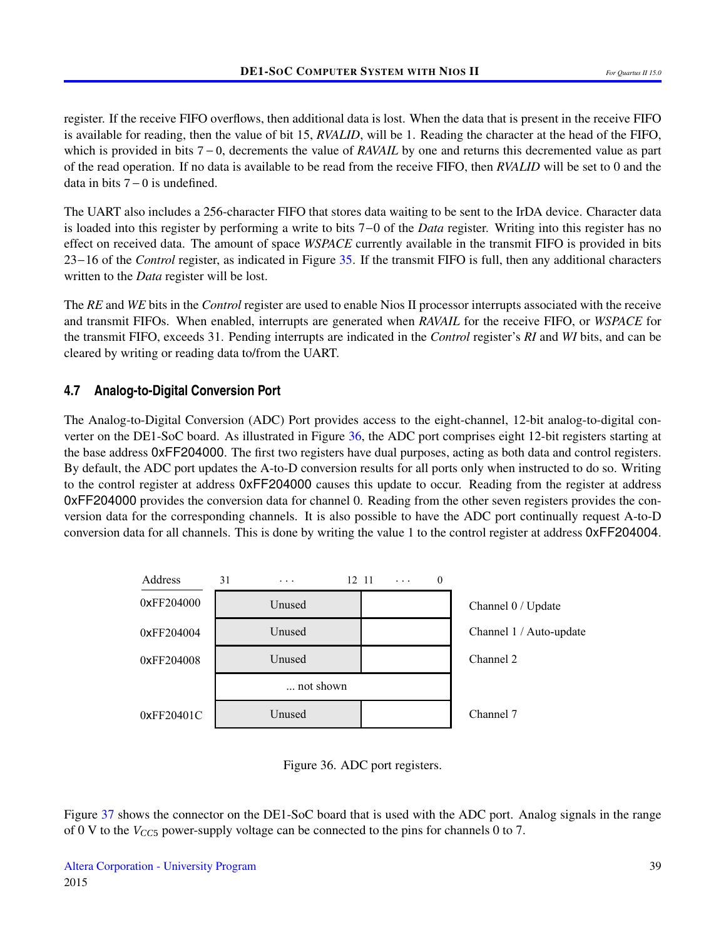register. If the receive FIFO overflows, then additional data is lost. When the data that is present in the receive FIFO is available for reading, then the value of bit 15, *RVALID*, will be 1. Reading the character at the head of the FIFO, which is provided in bits 7 − 0, decrements the value of *RAVAIL* by one and returns this decremented value as part of the read operation. If no data is available to be read from the receive FIFO, then *RVALID* will be set to 0 and the data in bits 7−0 is undefined.

The UART also includes a 256-character FIFO that stores data waiting to be sent to the IrDA device. Character data is loaded into this register by performing a write to bits 7−0 of the *Data* register. Writing into this register has no effect on received data. The amount of space *WSPACE* currently available in the transmit FIFO is provided in bits 23−16 of the *Control* register, as indicated in Figure [35.](#page-37-1) If the transmit FIFO is full, then any additional characters written to the *Data* register will be lost.

The *RE* and *WE* bits in the *Control* register are used to enable Nios II processor interrupts associated with the receive and transmit FIFOs. When enabled, interrupts are generated when *RAVAIL* for the receive FIFO, or *WSPACE* for the transmit FIFO, exceeds 31. Pending interrupts are indicated in the *Control* register's *RI* and *WI* bits, and can be cleared by writing or reading data to/from the UART.

## **4.7 Analog-to-Digital Conversion Port**

The Analog-to-Digital Conversion (ADC) Port provides access to the eight-channel, 12-bit analog-to-digital converter on the DE1-SoC board. As illustrated in Figure [36,](#page-38-0) the ADC port comprises eight 12-bit registers starting at the base address 0xFF204000. The first two registers have dual purposes, acting as both data and control registers. By default, the ADC port updates the A-to-D conversion results for all ports only when instructed to do so. Writing to the control register at address 0xFF204000 causes this update to occur. Reading from the register at address 0xFF204000 provides the conversion data for channel 0. Reading from the other seven registers provides the conversion data for the corresponding channels. It is also possible to have the ADC port continually request A-to-D conversion data for all channels. This is done by writing the value 1 to the control register at address 0xFF204004.

<span id="page-38-0"></span>



Figure [37](#page-39-0) shows the connector on the DE1-SoC board that is used with the ADC port. Analog signals in the range of 0 V to the  $V_{CC5}$  power-supply voltage can be connected to the pins for channels 0 to 7.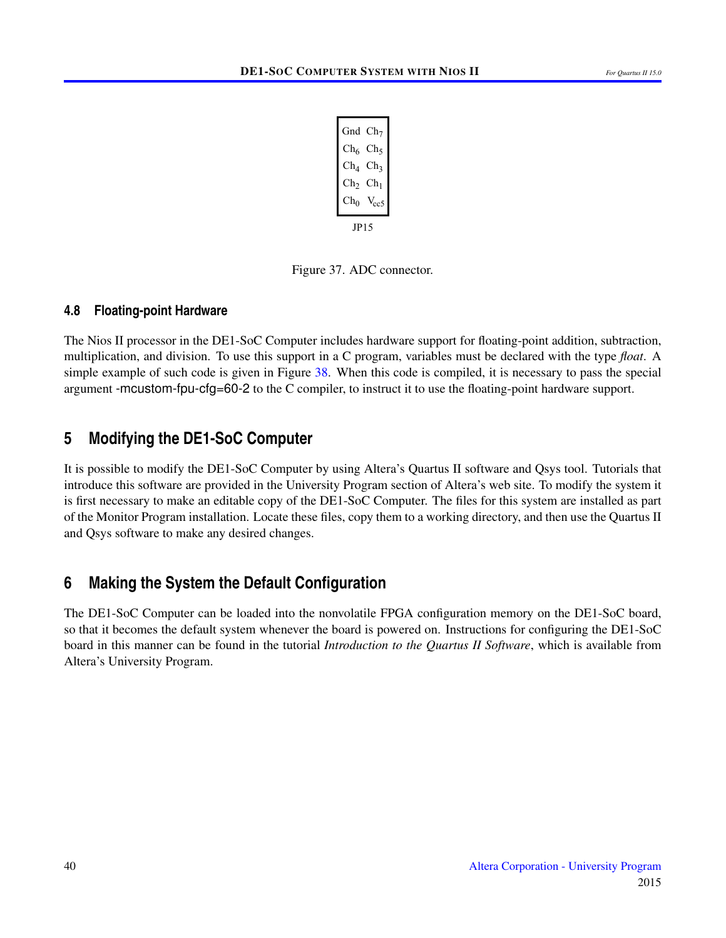| Gnd $Ch7$       |                  |
|-----------------|------------------|
| $\mathrm{Ch}_6$ | $Ch_5$           |
| $\rm Ch_4$      | Ch <sub>3</sub>  |
| $Ch_2$ $Ch_1$   |                  |
| $\mathrm{Ch}_0$ | V <sub>cc5</sub> |
| JP15            |                  |

Figure 37. ADC connector.

## <span id="page-39-0"></span>**4.8 Floating-point Hardware**

The Nios II processor in the DE1-SoC Computer includes hardware support for floating-point addition, subtraction, multiplication, and division. To use this support in a C program, variables must be declared with the type *float*. A simple example of such code is given in Figure [38.](#page-40-0) When this code is compiled, it is necessary to pass the special argument -mcustom-fpu-cfg=60-2 to the C compiler, to instruct it to use the floating-point hardware support.

## **5 Modifying the DE1-SoC Computer**

It is possible to modify the DE1-SoC Computer by using Altera's Quartus II software and Qsys tool. Tutorials that introduce this software are provided in the University Program section of Altera's web site. To modify the system it is first necessary to make an editable copy of the DE1-SoC Computer. The files for this system are installed as part of the Monitor Program installation. Locate these files, copy them to a working directory, and then use the Quartus II and Qsys software to make any desired changes.

## **6 Making the System the Default Configuration**

The DE1-SoC Computer can be loaded into the nonvolatile FPGA configuration memory on the DE1-SoC board, so that it becomes the default system whenever the board is powered on. Instructions for configuring the DE1-SoC board in this manner can be found in the tutorial *Introduction to the Quartus II Software*, which is available from Altera's University Program.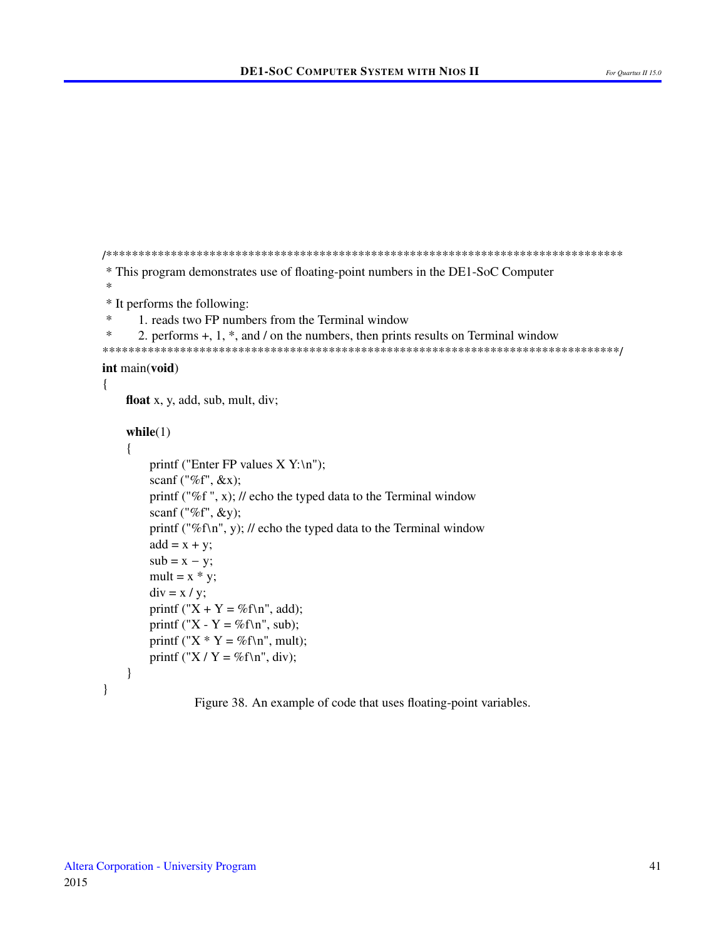```
* This program demonstrates use of floating-point numbers in the DE1-SoC Computer
\ast* It performs the following:
\ast1. reads two FP numbers from the Terminal window
\ast2. performs +, 1, *, and / on the numbers, then prints results on Terminal window
int main(void)
\{float x, y, add, sub, mult, div;
   while(1)\left\{ \right.printf ("Enter FP values X Y:\n\ln");
       scanf ("%f", &x);
       printf ("%f", x); // echo the typed data to the Terminal window
       scanf ("%f", \&y);
       printf ("%f\n", y); // echo the typed data to the Terminal window
       add = x + y;sub = x - y;mult = x * y;
       div = x / y;printf ("X + Y = %f\n", add);
       printf ("X - Y = %f\n", sub);
       printf ("X * Y = %f\n", mult);
       printf ("X / Y = %f\n", div);
   \mathcal{E}\mathcal{E}
```
Figure 38. An example of code that uses floating-point variables.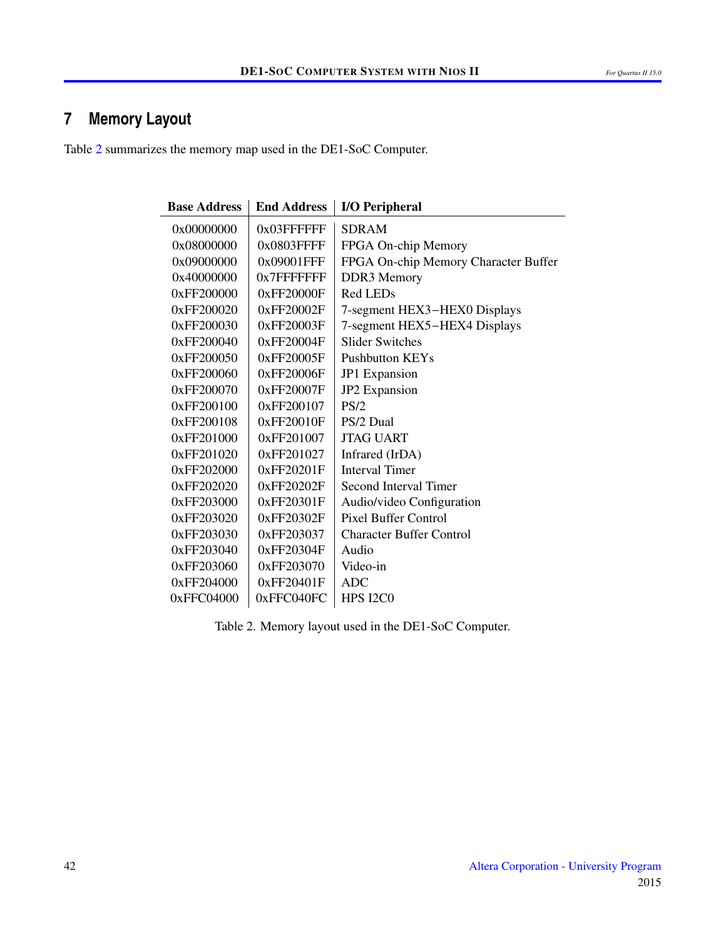# **7 Memory Layout**

<span id="page-41-0"></span>Table [2](#page-41-0) summarizes the memory map used in the DE1-SoC Computer.

| <b>Base Address</b> | <b>End Address</b> | <b>I/O Peripheral</b>                |
|---------------------|--------------------|--------------------------------------|
| 0x00000000          | 0x03FFFFFFF        | <b>SDRAM</b>                         |
| 0x08000000          | 0x0803FFFF         | FPGA On-chip Memory                  |
| 0x09000000          | 0x09001FFF         | FPGA On-chip Memory Character Buffer |
| 0x40000000          | 0x7FFFFFFFF        | DDR3 Memory                          |
| 0xFF200000          | 0xFF20000F         | Red LEDs                             |
| 0xFF200020          | 0xFF20002F         | 7-segment HEX3-HEX0 Displays         |
| 0xFF200030          | 0xFF20003F         | 7-segment HEX5-HEX4 Displays         |
| 0xFF200040          | 0xFF20004F         | <b>Slider Switches</b>               |
| 0xFF200050          | 0xFF20005F         | <b>Pushbutton KEYs</b>               |
| 0xFF200060          | 0xFF20006F         | JP1 Expansion                        |
| 0xFF200070          | 0xFF20007F         | JP2 Expansion                        |
| 0xFF200100          | 0xFF200107         | PS/2                                 |
| 0xFF200108          | 0xFF20010F         | PS/2 Dual                            |
| 0xFF201000          | 0xFF201007         | <b>JTAG UART</b>                     |
| 0xFF201020          | 0xFF201027         | Infrared (IrDA)                      |
| 0xFF202000          | 0xFF20201F         | <b>Interval Timer</b>                |
| 0xFF202020          | 0xFF20202F         | Second Interval Timer                |
| 0xFF203000          | 0xFF20301F         | Audio/video Configuration            |
| 0xFF203020          | 0xFF20302F         | <b>Pixel Buffer Control</b>          |
| 0xFF203030          | 0xFF203037         | <b>Character Buffer Control</b>      |
| 0xFF203040          | 0xFF20304F         | Audio                                |
| 0xFF203060          | 0xFF203070         | Video-in                             |
| 0xFF204000          | 0xFF20401F         | <b>ADC</b>                           |
| 0xFFC04000          | 0xFFC040FC         | <b>HPS I2C0</b>                      |

Table 2. Memory layout used in the DE1-SoC Computer.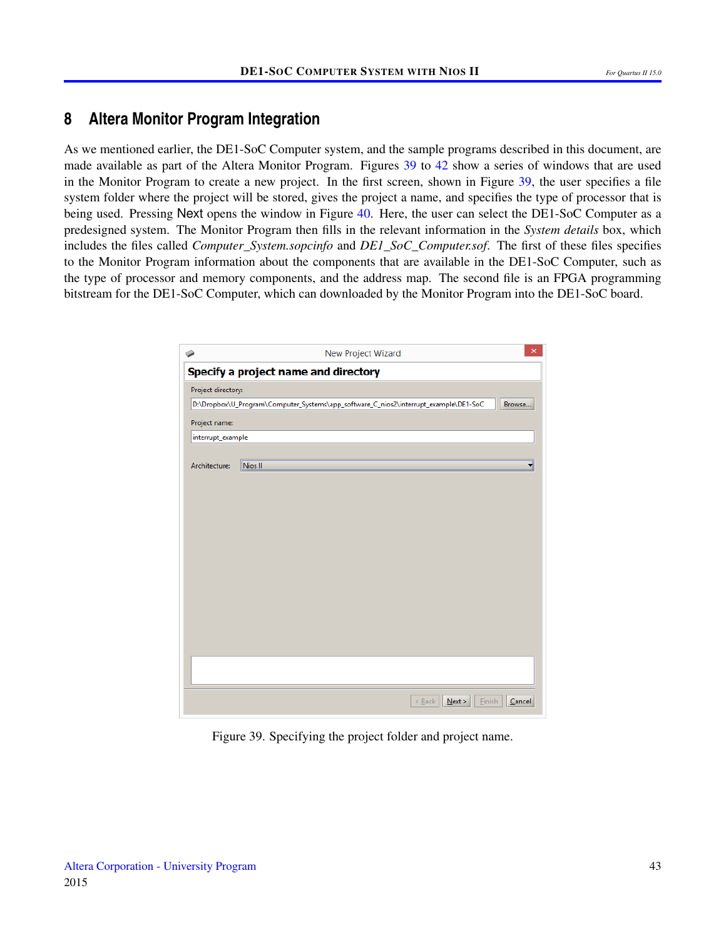## <span id="page-42-0"></span>**8 Altera Monitor Program Integration**

As we mentioned earlier, the DE1-SoC Computer system, and the sample programs described in this document, are made available as part of the Altera Monitor Program. Figures [39](#page-42-1) to [42](#page-44-0) show a series of windows that are used in the Monitor Program to create a new project. In the first screen, shown in Figure [39,](#page-42-1) the user specifies a file system folder where the project will be stored, gives the project a name, and specifies the type of processor that is being used. Pressing Next opens the window in Figure [40.](#page-43-0) Here, the user can select the DE1-SoC Computer as a predesigned system. The Monitor Program then fills in the relevant information in the *System details* box, which includes the files called *Computer\_System.sopcinfo* and *DE1\_SoC\_Computer.sof*. The first of these files specifies to the Monitor Program information about the components that are available in the DE1-SoC Computer, such as the type of processor and memory components, and the address map. The second file is an FPGA programming bitstream for the DE1-SoC Computer, which can downloaded by the Monitor Program into the DE1-SoC board.

<span id="page-42-1"></span>

| ۵                  | ×<br>New Project Wizard                                                                        |
|--------------------|------------------------------------------------------------------------------------------------|
|                    | Specify a project name and directory                                                           |
| Project directory: |                                                                                                |
|                    | D:\Dropbox\U_Program\Computer_Systems\app_software_C_nios2\interrupt_example\DE1-SoC<br>Browse |
| Project name:      |                                                                                                |
| interrupt_example  |                                                                                                |
| Architecture:      | Nios <sub>II</sub>                                                                             |
|                    |                                                                                                |
|                    |                                                                                                |
|                    | Next<br>$\leq$ Back<br>Einish<br>Cancel                                                        |

Figure 39. Specifying the project folder and project name.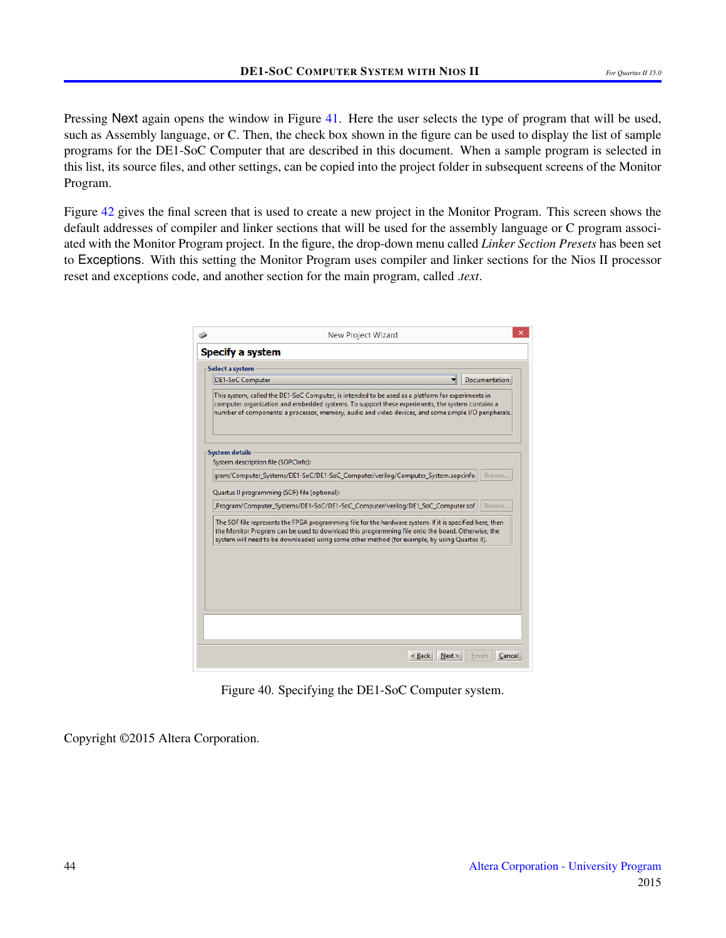Pressing Next again opens the window in Figure [41.](#page-44-1) Here the user selects the type of program that will be used, such as Assembly language, or C. Then, the check box shown in the figure can be used to display the list of sample programs for the DE1-SoC Computer that are described in this document. When a sample program is selected in this list, its source files, and other settings, can be copied into the project folder in subsequent screens of the Monitor Program.

<span id="page-43-0"></span>Figure [42](#page-44-0) gives the final screen that is used to create a new project in the Monitor Program. This screen shows the default addresses of compiler and linker sections that will be used for the assembly language or C program associated with the Monitor Program project. In the figure, the drop-down menu called *Linker Section Presets* has been set to Exceptions. With this setting the Monitor Program uses compiler and linker sections for the Nios II processor reset and exceptions code, and another section for the main program, called .*text*.

| Select a system         |                                     |                                                                                                                                                                                                                                                                                                              |                      |
|-------------------------|-------------------------------------|--------------------------------------------------------------------------------------------------------------------------------------------------------------------------------------------------------------------------------------------------------------------------------------------------------------|----------------------|
| <b>DE1-SoC Computer</b> |                                     |                                                                                                                                                                                                                                                                                                              | <b>Documentation</b> |
|                         |                                     | This system, called the DE1-SoC Computer, is intended to be used as a platform for experiments in<br>computer organization and embedded systems. To support these experiments, the system contains a<br>number of components: a processor, memory, audio and video devices, and some simple I/O peripherals. |                      |
| <b>System details</b>   |                                     |                                                                                                                                                                                                                                                                                                              |                      |
|                         | System description file (SOPCInfo): |                                                                                                                                                                                                                                                                                                              |                      |
|                         |                                     | gram/Computer_Systems/DE1-SoC/DE1-SoC_Computer/verilog/Computer_System.sopcinfo                                                                                                                                                                                                                              | Browse               |
|                         |                                     | Program/Computer_Systems/DE1-SoC/DE1-SoC_Computer/verilog/DE1_SoC_Computer.sof                                                                                                                                                                                                                               | Browse               |
|                         |                                     | The SOF file represents the FPGA programming file for the hardware system. If it is specified here, then                                                                                                                                                                                                     |                      |
|                         |                                     | the Monitor Program can be used to download this programming file onto the board. Otherwise, the<br>system will need to be downloaded using some other method (for example, by using Quartus II).                                                                                                            |                      |
|                         |                                     |                                                                                                                                                                                                                                                                                                              |                      |
|                         |                                     |                                                                                                                                                                                                                                                                                                              |                      |

Figure 40. Specifying the DE1-SoC Computer system.

Copyright ©2015 Altera Corporation.